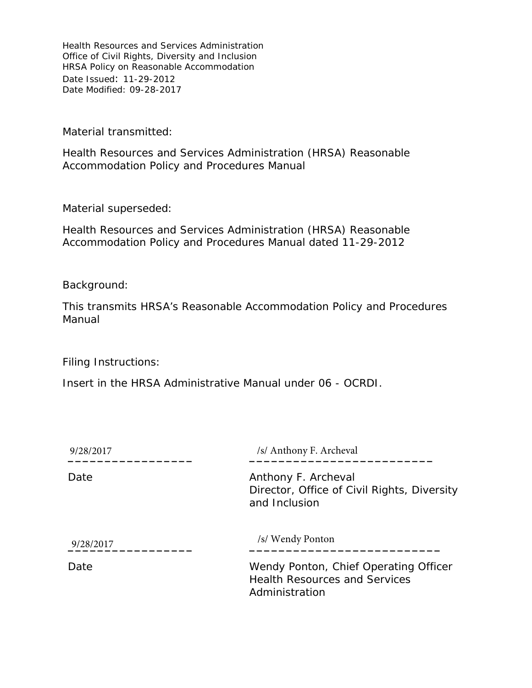Material transmitted:

Health Resources and Services Administration (HRSA) Reasonable Accommodation Policy and Procedures Manual

Material superseded:

Health Resources and Services Administration (HRSA) Reasonable Accommodation Policy and Procedures Manual dated 11-29-2012

Background:

This transmits HRSA's Reasonable Accommodation Policy and Procedures Manual

Filing Instructions:

Insert in the HRSA Administrative Manual under 06 - OCRDI.

| 9/28/2017 | /s/ Anthony F. Archeval                                                                         |
|-----------|-------------------------------------------------------------------------------------------------|
| Date      | Anthony F. Archeval<br>Director, Office of Civil Rights, Diversity<br>and Inclusion             |
| 9/28/2017 | /s/ Wendy Ponton                                                                                |
| Date      | Wendy Ponton, Chief Operating Officer<br><b>Health Resources and Services</b><br>Administration |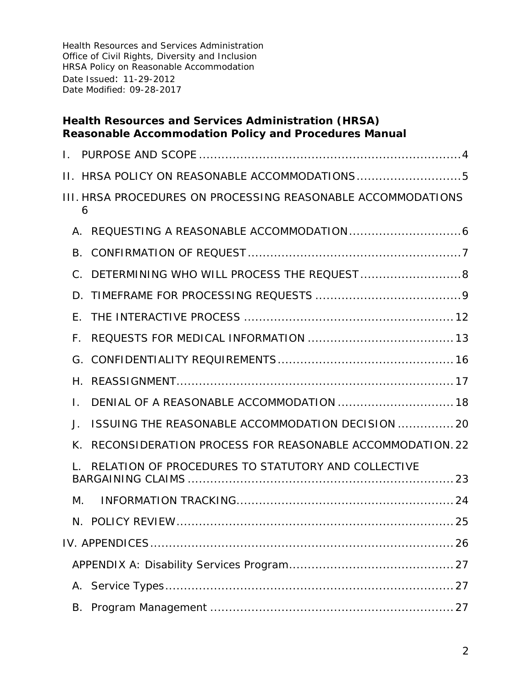### **Health Resources and Services Administration (HRSA) Reasonable Accommodation Policy and Procedures Manual**

| L.                   |                                                              |
|----------------------|--------------------------------------------------------------|
|                      | II. HRSA POLICY ON REASONABLE ACCOMMODATIONS5                |
| 6                    | III. HRSA PROCEDURES ON PROCESSING REASONABLE ACCOMMODATIONS |
| $\mathsf{A}_{\cdot}$ |                                                              |
| <b>B.</b>            |                                                              |
| $C$ .                | DETERMINING WHO WILL PROCESS THE REQUEST 8                   |
| D.                   |                                                              |
| Е.                   |                                                              |
| F.                   |                                                              |
| G.                   |                                                              |
| Η.                   |                                                              |
| L.                   | DENIAL OF A REASONABLE ACCOMMODATION  18                     |
| J.                   | ISSUING THE REASONABLE ACCOMMODATION DECISION  20            |
| K.                   | RECONSIDERATION PROCESS FOR REASONABLE ACCOMMODATION.22      |
|                      | RELATION OF PROCEDURES TO STATUTORY AND COLLECTIVE           |
| М.                   |                                                              |
|                      |                                                              |
|                      |                                                              |
|                      |                                                              |
| А.                   |                                                              |
| В.                   |                                                              |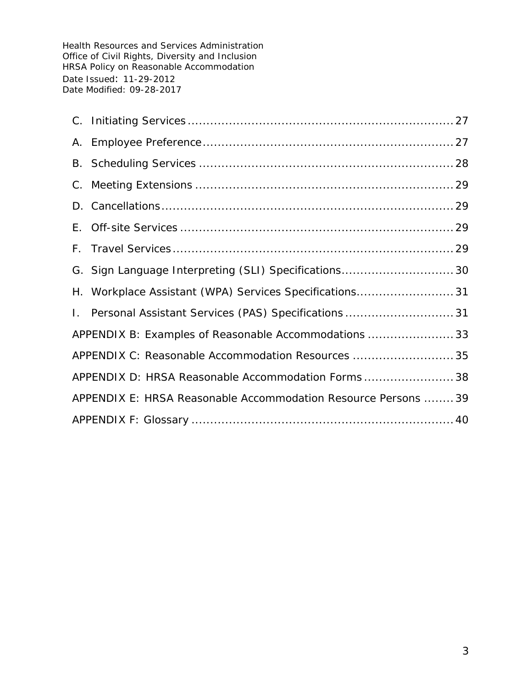|                                                                | G. Sign Language Interpreting (SLI) Specifications 30  |  |
|----------------------------------------------------------------|--------------------------------------------------------|--|
|                                                                | H. Workplace Assistant (WPA) Services Specifications31 |  |
|                                                                | 1. Personal Assistant Services (PAS) Specifications 31 |  |
| APPENDIX B: Examples of Reasonable Accommodations  33          |                                                        |  |
|                                                                | APPENDIX C: Reasonable Accommodation Resources  35     |  |
|                                                                | APPENDIX D: HRSA Reasonable Accommodation Forms 38     |  |
| APPENDIX E: HRSA Reasonable Accommodation Resource Persons  39 |                                                        |  |
|                                                                |                                                        |  |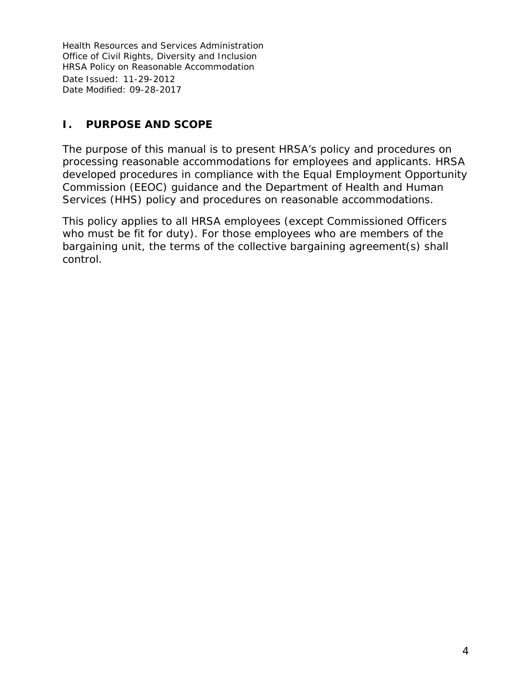# <span id="page-3-0"></span>**I. PURPOSE AND SCOPE**

The purpose of this manual is to present HRSA's policy and procedures on processing reasonable accommodations for employees and applicants. HRSA developed procedures in compliance with the Equal Employment Opportunity Commission (EEOC) guidance and the Department of Health and Human Services (HHS) policy and procedures on reasonable accommodations.

This policy applies to all HRSA employees (except Commissioned Officers who must be fit for duty). For those employees who are members of the bargaining unit, the terms of the collective bargaining agreement(s) shall control.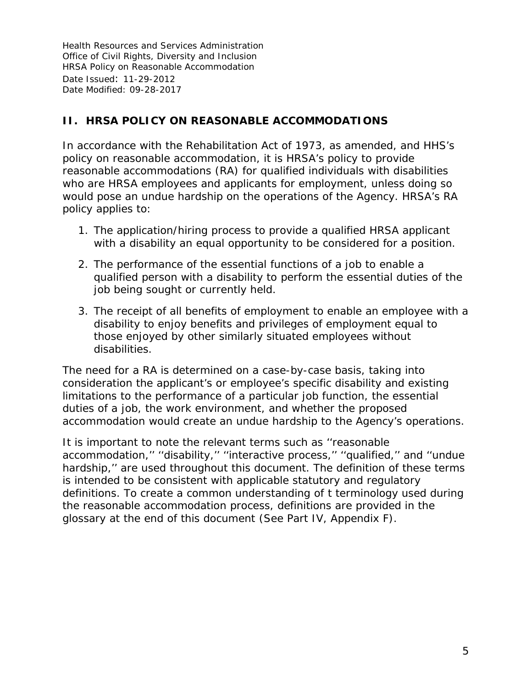# <span id="page-4-0"></span>**II. HRSA POLICY ON REASONABLE ACCOMMODATIONS**

In accordance with the Rehabilitation Act of 1973, as amended, and HHS's policy on reasonable accommodation, it is HRSA's policy to provide reasonable accommodations (RA) for qualified individuals with disabilities who are HRSA employees and applicants for employment, unless doing so would pose an undue hardship on the operations of the Agency. HRSA's RA policy applies to:

- 1. The application/hiring process to provide a qualified HRSA applicant with a disability an equal opportunity to be considered for a position.
- 2. The performance of the essential functions of a job to enable a qualified person with a disability to perform the essential duties of the job being sought or currently held.
- 3. The receipt of all benefits of employment to enable an employee with a disability to enjoy benefits and privileges of employment equal to those enjoyed by other similarly situated employees without disabilities.

The need for a RA is determined on a case-by-case basis, taking into consideration the applicant's or employee's specific disability and existing limitations to the performance of a particular job function, the essential duties of a job, the work environment, and whether the proposed accommodation would create an undue hardship to the Agency's operations.

It is important to note the relevant terms such as ''reasonable accommodation,'' ''disability,'' ''interactive process,'' ''qualified,'' and ''undue hardship," are used throughout this document. The definition of these terms is intended to be consistent with applicable statutory and regulatory definitions. To create a common understanding of t terminology used during the reasonable accommodation process, definitions are provided in the glossary at the end of this document (See Part IV, Appendix F).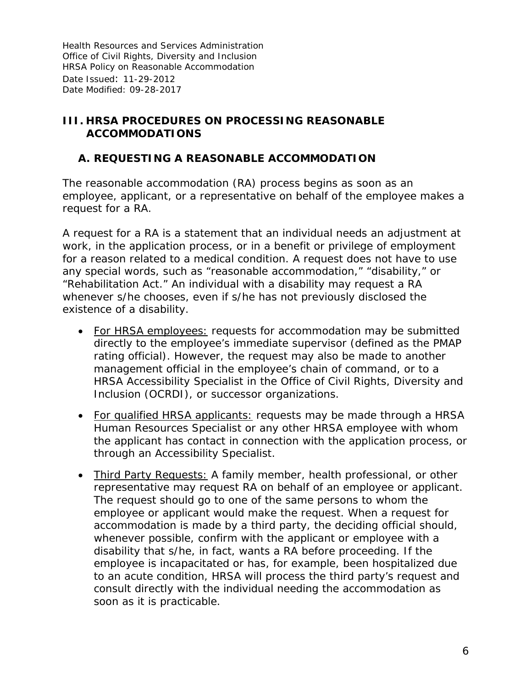### <span id="page-5-0"></span>**III. HRSA PROCEDURES ON PROCESSING REASONABLE ACCOMMODATIONS**

#### <span id="page-5-1"></span>**A. REQUESTING A REASONABLE ACCOMMODATION**

The reasonable accommodation (RA) process begins as soon as an employee, applicant, or a representative on behalf of the employee makes a request for a RA.

A request for a RA is a statement that an individual needs an adjustment at work, in the application process, or in a benefit or privilege of employment for a reason related to a medical condition. A request does not have to use any special words, such as "reasonable accommodation," "disability," or "Rehabilitation Act." An individual with a disability may request a RA whenever s/he chooses, even if s/he has not previously disclosed the existence of a disability.

- For HRSA employees: requests for accommodation may be submitted directly to the employee's immediate supervisor (defined as the PMAP rating official). However, the request may also be made to another management official in the employee's chain of command, or to a HRSA Accessibility Specialist in the Office of Civil Rights, Diversity and Inclusion (OCRDI), or successor organizations.
- For qualified HRSA applicants: requests may be made through a HRSA Human Resources Specialist or any other HRSA employee with whom the applicant has contact in connection with the application process, or through an Accessibility Specialist.
- Third Party Requests: A family member, health professional, or other representative may request RA on behalf of an employee or applicant. The request should go to one of the same persons to whom the employee or applicant would make the request. When a request for accommodation is made by a third party, the deciding official should, whenever possible, confirm with the applicant or employee with a disability that s/he, in fact, wants a RA before proceeding. If the employee is incapacitated or has, for example, been hospitalized due to an acute condition, HRSA will process the third party's request and consult directly with the individual needing the accommodation as soon as it is practicable.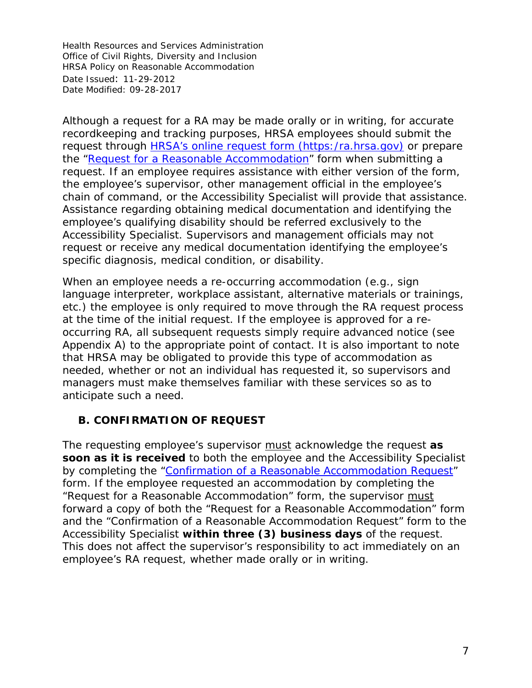Although a request for a RA may be made orally or in writing, for accurate recordkeeping and tracking purposes, HRSA employees should submit the request through **HRSA's online request form (https:/ra.hrsa.gov)** or prepare the ["Request for a Reasonable Accommodation"](http://www.hrsa.gov/hr/nofearact/forms/requestforRA.pdf) form when submitting a request. If an employee requires assistance with either version of the form, the employee's supervisor, other management official in the employee's chain of command, or the Accessibility Specialist will provide that assistance. Assistance regarding obtaining medical documentation and identifying the employee's qualifying disability should be referred exclusively to the Accessibility Specialist. Supervisors and management officials may not request or receive any medical documentation identifying the employee's specific diagnosis, medical condition, or disability.

When an employee needs a re-occurring accommodation (e.g., sign language interpreter, workplace assistant, alternative materials or trainings, etc.) the employee is only required to move through the RA request process at the time of the initial request. If the employee is approved for a reoccurring RA, all subsequent requests simply require advanced notice (see Appendix A) to the appropriate point of contact. It is also important to note that HRSA may be obligated to provide this type of accommodation as needed, whether or not an individual has requested it, so supervisors and managers must make themselves familiar with these services so as to anticipate such a need.

# <span id="page-6-0"></span>**B. CONFIRMATION OF REQUEST**

The requesting employee's supervisor must acknowledge the request *as soon as it is received* to both the employee and the Accessibility Specialist by completing the ["Confirmation of a Reasonable](http://www.hrsa.gov/hr/nofearact/forms/confirmationRArequest.pdf) Accommodation Request" form. If the employee requested an accommodation by completing the "Request for a Reasonable Accommodation" form, the supervisor must forward a copy of both the "Request for a Reasonable Accommodation" form *and* the "Confirmation of a Reasonable Accommodation Request" form to the Accessibility Specialist *within three (3) business days* of the request. This does not affect the supervisor's responsibility to act immediately on an employee's RA request, whether made orally or in writing.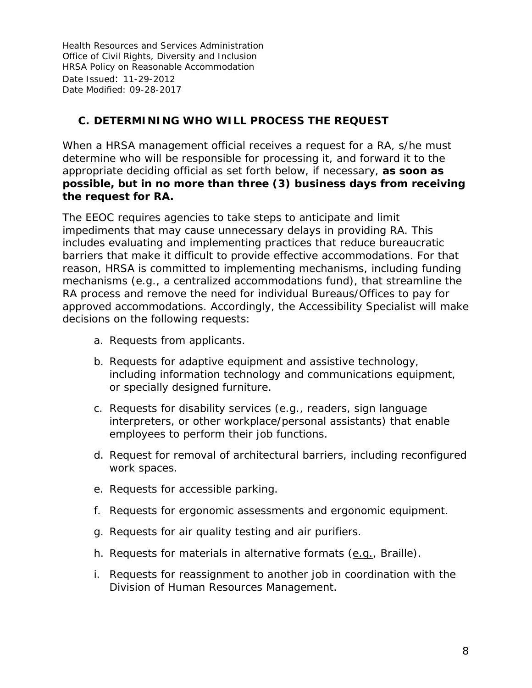# <span id="page-7-0"></span>**C. DETERMINING WHO WILL PROCESS THE REQUEST**

When a HRSA management official receives a request for a RA, s/he must determine who will be responsible for processing it, and forward it to the appropriate deciding official as set forth below, if necessary, *as soon as possible, but in no more than three (3) business days from receiving the request for RA.* 

The EEOC requires agencies to take steps to anticipate and limit impediments that may cause unnecessary delays in providing RA. This includes evaluating and implementing practices that reduce bureaucratic barriers that make it difficult to provide effective accommodations. For that reason, HRSA is committed to implementing mechanisms, including funding mechanisms (e.g., a centralized accommodations fund), that streamline the RA process and remove the need for individual Bureaus/Offices to pay for approved accommodations. Accordingly, the Accessibility Specialist will make decisions on the following requests:

- a. Requests from applicants.
- b. Requests for adaptive equipment and assistive technology, including information technology and communications equipment, or specially designed furniture.
- c. Requests for disability services (e.g., readers, sign language interpreters, or other workplace/personal assistants) that enable employees to perform their job functions.
- d. Request for removal of architectural barriers, including reconfigured work spaces.
- e. Requests for accessible parking.
- f. Requests for ergonomic assessments and ergonomic equipment.
- g. Requests for air quality testing and air purifiers.
- h. Requests for materials in alternative formats (e.g., Braille).
- i. Requests for reassignment to another job in coordination with the Division of Human Resources Management.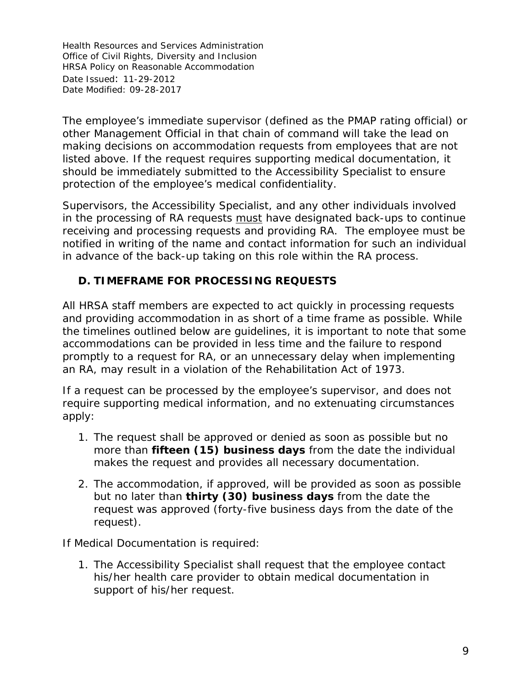The employee's immediate supervisor (defined as the PMAP rating official) or other Management Official in that chain of command will take the lead on making decisions on accommodation requests from employees that are not listed above. If the request requires supporting medical documentation, it should be immediately submitted to the Accessibility Specialist to ensure protection of the employee's medical confidentiality.

Supervisors, the Accessibility Specialist, and any other individuals involved in the processing of RA requests must have designated back-ups to continue receiving and processing requests and providing RA. The employee must be notified in writing of the name and contact information for such an individual in advance of the back-up taking on this role within the RA process.

# <span id="page-8-0"></span>**D. TIMEFRAME FOR PROCESSING REQUESTS**

All HRSA staff members are expected to act quickly in processing requests and providing accommodation in as short of a time frame as possible. While the timelines outlined below are guidelines, it is important to note that some accommodations can be provided in less time and the failure to respond promptly to a request for RA, or an unnecessary delay when implementing an RA, may result in a violation of the Rehabilitation Act of 1973.

If a request can be processed by the employee's supervisor, and does not require supporting medical information, and no extenuating circumstances apply:

- 1. The request shall be approved or denied as soon as possible but no more than *fifteen (15) business days* from the date the individual makes the request and provides all necessary documentation.
- 2. The accommodation, if approved, will be provided as soon as possible but no later than *thirty (30) business days* from the date the request was approved (*forty-five business days from the date of the request*).

If Medical Documentation is required:

1. The Accessibility Specialist shall request that the employee contact his/her health care provider to obtain medical documentation in support of his/her request.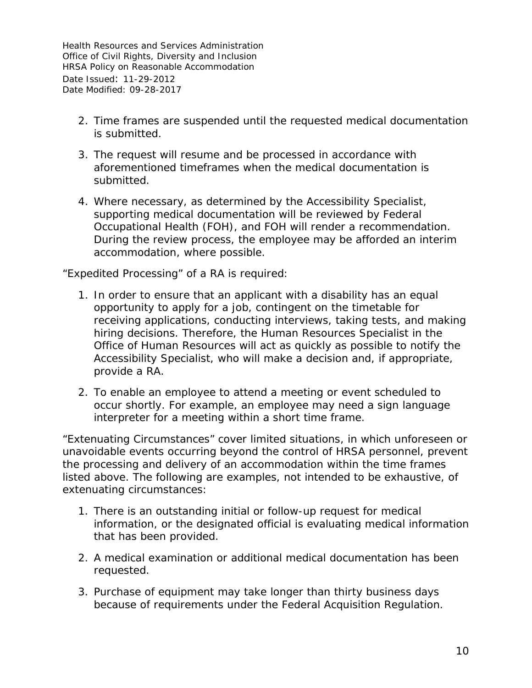- 2. Time frames are suspended until the requested medical documentation is submitted.
- 3. The request will resume and be processed in accordance with aforementioned timeframes when the medical documentation is submitted.
- 4. Where necessary, as determined by the Accessibility Specialist, supporting medical documentation will be reviewed by Federal Occupational Health (FOH), and FOH will render a recommendation. During the review process, the employee may be afforded an interim accommodation, where possible.

"Expedited Processing" of a RA is required:

- 1. In order to ensure that an applicant with a disability has an equal opportunity to apply for a job, contingent on the timetable for receiving applications, conducting interviews, taking tests, and making hiring decisions. Therefore, the Human Resources Specialist in the Office of Human Resources will act as quickly as possible to notify the Accessibility Specialist, who will make a decision and, if appropriate, provide a RA.
- 2. To enable an employee to attend a meeting or event scheduled to occur shortly. For example, an employee may need a sign language interpreter for a meeting within a short time frame.

"Extenuating Circumstances" cover limited situations, in which unforeseen or unavoidable events occurring beyond the control of HRSA personnel, prevent the processing and delivery of an accommodation within the time frames listed above. The following are examples, not intended to be exhaustive, of extenuating circumstances:

- 1. There is an outstanding initial or follow-up request for medical information, or the designated official is evaluating medical information that has been provided.
- 2. A medical examination or additional medical documentation has been requested.
- 3. Purchase of equipment may take longer than thirty business days because of requirements under the Federal Acquisition Regulation.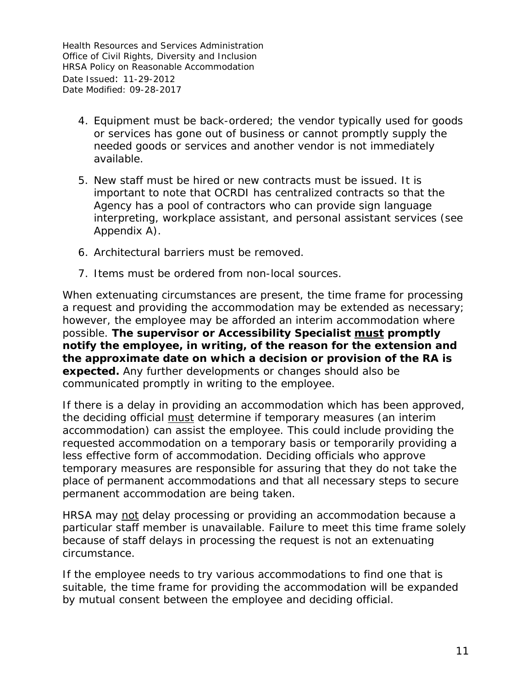- 4. Equipment must be back-ordered; the vendor typically used for goods or services has gone out of business or cannot promptly supply the needed goods or services and another vendor is not immediately available.
- 5. New staff must be hired or new contracts must be issued. It is important to note that OCRDI has centralized contracts so that the Agency has a pool of contractors who can provide sign language interpreting, workplace assistant, and personal assistant services (see Appendix A).
- 6. Architectural barriers must be removed.
- 7. Items must be ordered from non-local sources.

When extenuating circumstances are present, the time frame for processing a request and providing the accommodation may be extended as necessary; however, the employee may be afforded an interim accommodation where possible. *The supervisor or Accessibility Specialist must promptly notify the employee, in writing, of the reason for the extension and the approximate date on which a decision or provision of the RA is expected.* Any further developments or changes should also be communicated promptly in writing to the employee.

If there is a delay in providing an accommodation which has been approved, the deciding official must determine if temporary measures (an interim accommodation) can assist the employee. This could include providing the requested accommodation on a temporary basis or temporarily providing a less effective form of accommodation. Deciding officials who approve temporary measures are responsible for assuring that they do not take the place of permanent accommodations and that all necessary steps to secure permanent accommodation are being taken.

HRSA may not delay processing or providing an accommodation because a particular staff member is unavailable. Failure to meet this time frame solely because of staff delays in processing the request is not an extenuating circumstance.

If the employee needs to try various accommodations to find one that is suitable, the time frame for providing the accommodation will be expanded by mutual consent between the employee and deciding official.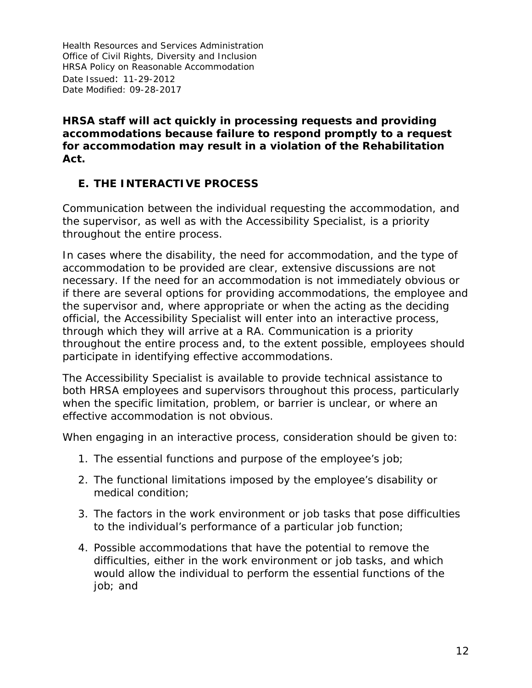#### *HRSA staff will act quickly in processing requests and providing accommodations because failure to respond promptly to a request for accommodation may result in a violation of the Rehabilitation Act.*

# <span id="page-11-0"></span>**E. THE INTERACTIVE PROCESS**

Communication between the individual requesting the accommodation, and the supervisor, as well as with the Accessibility Specialist, is a priority throughout the entire process.

In cases where the disability, the need for accommodation, and the type of accommodation to be provided are clear, extensive discussions are not necessary. If the need for an accommodation is not immediately obvious or if there are several options for providing accommodations, the employee and the supervisor and, where appropriate or when the acting as the deciding official, the Accessibility Specialist will enter into an interactive process, through which they will arrive at a RA. Communication is a priority throughout the entire process and, to the extent possible, employees should participate in identifying effective accommodations.

The Accessibility Specialist is available to provide technical assistance to both HRSA employees and supervisors throughout this process, particularly when the specific limitation, problem, or barrier is unclear, or where an effective accommodation is not obvious.

When engaging in an interactive process, consideration should be given to:

- 1. The essential functions and purpose of the employee's job;
- 2. The functional limitations imposed by the employee's disability or medical condition;
- 3. The factors in the work environment or job tasks that pose difficulties to the individual's performance of a particular job function;
- 4. Possible accommodations that have the potential to remove the difficulties, either in the work environment or job tasks, and which would allow the individual to perform the essential functions of the job; and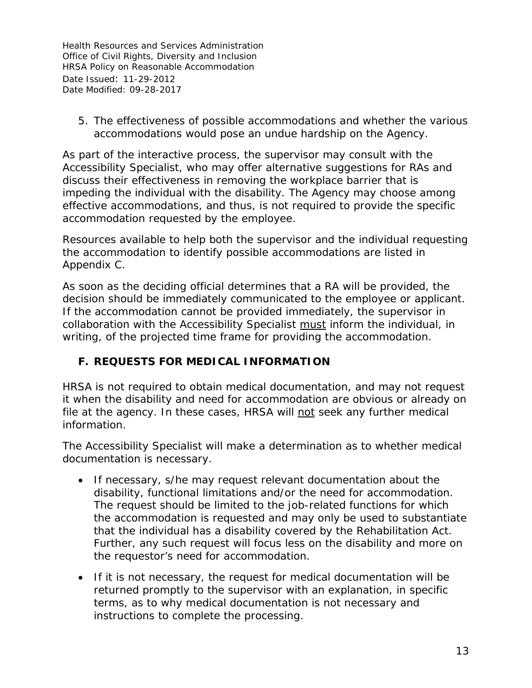5. The effectiveness of possible accommodations and whether the various accommodations would pose an undue hardship on the Agency.

As part of the interactive process, the supervisor may consult with the Accessibility Specialist, who may offer alternative suggestions for RAs and discuss their effectiveness in removing the workplace barrier that is impeding the individual with the disability. The Agency may choose among effective accommodations, and thus, is not required to provide the specific accommodation requested by the employee.

Resources available to help both the supervisor and the individual requesting the accommodation to identify possible accommodations are listed in Appendix C.

As soon as the deciding official determines that a RA will be provided, the decision should be immediately communicated to the employee or applicant. If the accommodation cannot be provided immediately, the supervisor in collaboration with the Accessibility Specialist must inform the individual, in writing, of the projected time frame for providing the accommodation.

# <span id="page-12-0"></span>**F. REQUESTS FOR MEDICAL INFORMATION**

HRSA is not required to obtain medical documentation, and may not request it when the disability and need for accommodation are obvious or already on file at the agency. In these cases, HRSA will not seek any further medical information.

The Accessibility Specialist will make a determination as to whether medical documentation is necessary.

- If necessary, s/he may request relevant documentation about the disability, functional limitations and/or the need for accommodation. The request should be limited to the job-related functions for which the accommodation is requested and may only be used to substantiate that the individual has a disability covered by the Rehabilitation Act. Further, any such request will focus less on the disability and more on the requestor's need for accommodation.
- If it is not necessary, the request for medical documentation will be returned promptly to the supervisor with an explanation, in specific terms, as to why medical documentation is not necessary and instructions to complete the processing.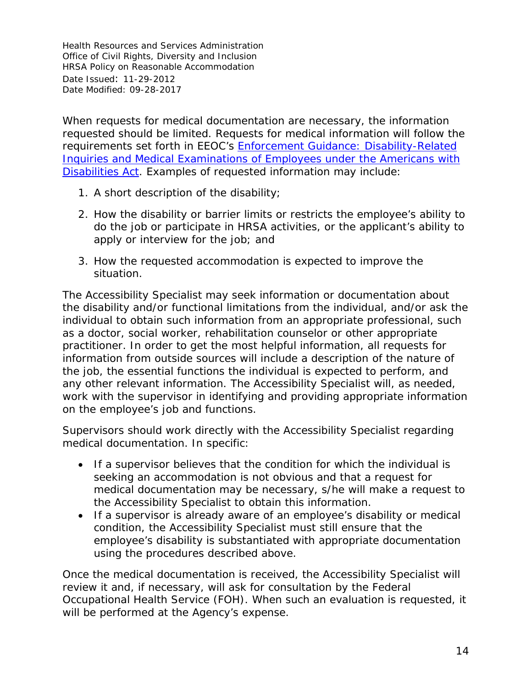When requests for medical documentation are necessary, the information requested should be limited. Requests for medical information will follow the requirements set forth in EEOC's *[Enforcement Guidance: Disability-Related](http://www.eeoc.gov/policy/docs/guidance-inquiries.html)  [Inquiries and Medical Examinations of Employees under the Americans with](http://www.eeoc.gov/policy/docs/guidance-inquiries.html)  [Disabilities Act](http://www.eeoc.gov/policy/docs/guidance-inquiries.html)*. Examples of requested information may include:

- 1. A short description of the disability;
- 2. How the disability or barrier limits or restricts the employee's ability to do the job or participate in HRSA activities, or the applicant's ability to apply or interview for the job; and
- 3. How the requested accommodation is expected to improve the situation.

The Accessibility Specialist may seek information or documentation about the disability and/or functional limitations from the individual, and/or ask the individual to obtain such information from an appropriate professional, such as a doctor, social worker, rehabilitation counselor or other appropriate practitioner. In order to get the most helpful information, all requests for information from outside sources will include a description of the nature of the job, the essential functions the individual is expected to perform, and any other relevant information. The Accessibility Specialist will, as needed, work with the supervisor in identifying and providing appropriate information on the employee's job and functions.

Supervisors should work directly with the Accessibility Specialist regarding medical documentation. In specific:

- If a supervisor believes that the condition for which the individual is seeking an accommodation is not obvious and that a request for medical documentation may be necessary, s/he will make a request to the Accessibility Specialist to obtain this information.
- If a supervisor is already aware of an employee's disability or medical condition, the Accessibility Specialist must still ensure that the employee's disability is substantiated with appropriate documentation using the procedures described above.

Once the medical documentation is received, the Accessibility Specialist will review it and, if necessary, will ask for consultation by the Federal Occupational Health Service (FOH). When such an evaluation is requested, it will be performed at the Agency's expense.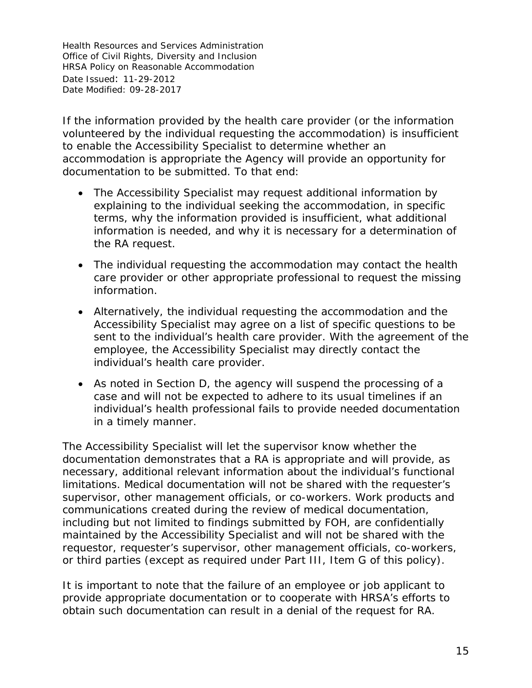If the information provided by the health care provider (or the information volunteered by the individual requesting the accommodation) is insufficient to enable the Accessibility Specialist to determine whether an accommodation is appropriate the Agency will provide an opportunity for documentation to be submitted. To that end:

- The Accessibility Specialist may request additional information by explaining to the individual seeking the accommodation, in specific terms, why the information provided is insufficient, what additional information is needed, and why it is necessary for a determination of the RA request.
- The individual requesting the accommodation may contact the health care provider or other appropriate professional to request the missing information.
- Alternatively, the individual requesting the accommodation and the Accessibility Specialist may agree on a list of specific questions to be sent to the individual's health care provider. With the agreement of the employee, the Accessibility Specialist may directly contact the individual's health care provider.
- As noted in Section D, the agency will suspend the processing of a case and will not be expected to adhere to its usual timelines if an individual's health professional fails to provide needed documentation in a timely manner.

The Accessibility Specialist will let the supervisor know whether the documentation demonstrates that a RA is appropriate and will provide, as necessary, additional relevant information about the individual's functional limitations. Medical documentation will not be shared with the requester's supervisor, other management officials, or co-workers. Work products and communications created during the review of medical documentation, including but not limited to findings submitted by FOH, are confidentially maintained by the Accessibility Specialist and will not be shared with the requestor, requester's supervisor, other management officials, co-workers, or third parties (except as required under Part III, Item G of this policy).

It is important to note that the failure of an employee or job applicant to provide appropriate documentation or to cooperate with HRSA's efforts to obtain such documentation can result in a denial of the request for RA.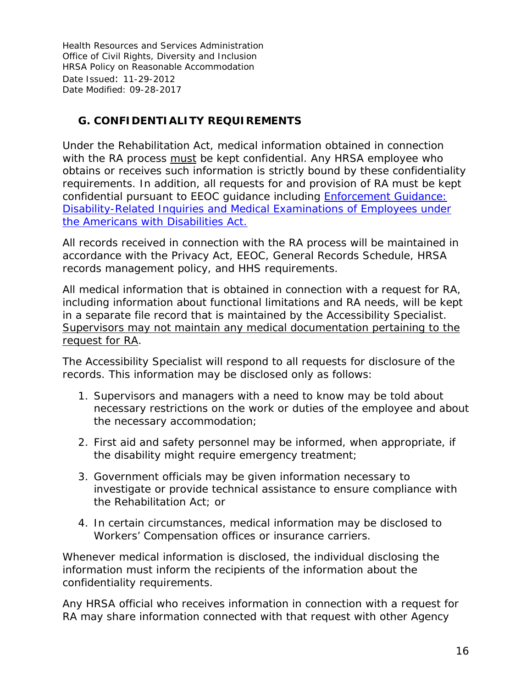# <span id="page-15-0"></span>**G. CONFIDENTIALITY REQUIREMENTS**

Under the Rehabilitation Act, medical information obtained in connection with the RA process must be kept confidential. Any HRSA employee who obtains or receives such information is strictly bound by these confidentiality requirements. In addition, all requests for and provision of RA must be kept confidential pursuant to EEOC guidance including *[Enforcement Guidance:](http://www.eeoc.gov/policy/docs/guidance-inquiries.html)  [Disability-Related Inquiries and Medical Examinations of Employees under](http://www.eeoc.gov/policy/docs/guidance-inquiries.html)  [the Americans with Disabilities Act.](http://www.eeoc.gov/policy/docs/guidance-inquiries.html)*

All records received in connection with the RA process will be maintained in accordance with the Privacy Act, EEOC, General Records Schedule, HRSA records management policy, and HHS requirements.

All medical information that is obtained in connection with a request for RA, including information about functional limitations and RA needs, will be kept in a separate file record that is maintained by the Accessibility Specialist. Supervisors may not maintain any medical documentation pertaining to the request for RA.

The Accessibility Specialist will respond to all requests for disclosure of the records. This information may be disclosed *only* as follows:

- 1. Supervisors and managers with a need to know may be told about necessary restrictions on the work or duties of the employee and about the necessary accommodation;
- 2. First aid and safety personnel may be informed, when appropriate, if the disability might require emergency treatment;
- 3. Government officials may be given information necessary to investigate or provide technical assistance to ensure compliance with the Rehabilitation Act; or
- 4. In certain circumstances, medical information may be disclosed to Workers' Compensation offices or insurance carriers.

Whenever medical information is disclosed, the individual disclosing the information must inform the recipients of the information about the confidentiality requirements.

Any HRSA official who receives information in connection with a request for RA may share information connected with that request with other Agency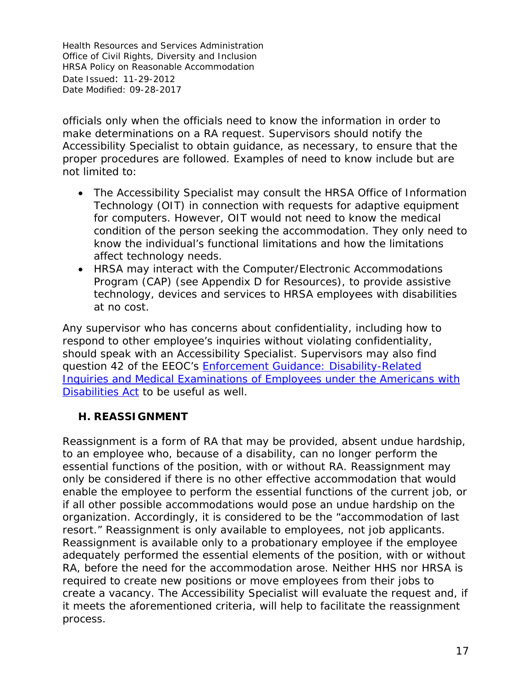officials only when the officials need to know the information in order to make determinations on a RA request. Supervisors should notify the Accessibility Specialist to obtain guidance, as necessary, to ensure that the proper procedures are followed. Examples of need to know include but are not limited to:

- The Accessibility Specialist may consult the HRSA Office of Information Technology (OIT) in connection with requests for adaptive equipment for computers. However, OIT would not need to know the medical condition of the person seeking the accommodation. They only need to know the individual's functional limitations and how the limitations affect technology needs.
- HRSA may interact with the Computer/Electronic Accommodations Program (CAP) (see Appendix D for Resources), to provide assistive technology, devices and services to HRSA employees with disabilities at no cost.

Any supervisor who has concerns about confidentiality, including how to respond to other employee's inquiries without violating confidentiality, should speak with an Accessibility Specialist. Supervisors may also find question 42 of the EEOC's *[Enforcement Guidance: Disability-Related](http://www.eeoc.gov/policy/docs/guidance-inquiries.html)  [Inquiries and Medical Examinations of Employees under the Americans with](http://www.eeoc.gov/policy/docs/guidance-inquiries.html)  [Disabilities Act](http://www.eeoc.gov/policy/docs/guidance-inquiries.html)* to be useful as well.

#### <span id="page-16-0"></span>**H. REASSIGNMENT**

Reassignment is a form of RA that may be provided, absent undue hardship, to an employee who, because of a disability, can no longer perform the essential functions of the position, with or without RA. Reassignment may only be considered if there is no other effective accommodation that would enable the employee to perform the essential functions of the current job, or if all other possible accommodations would pose an undue hardship on the organization. Accordingly, it is considered to be the "accommodation of last resort." Reassignment is only available to employees, not job applicants. Reassignment is available only to a probationary employee if the employee adequately performed the essential elements of the position, with or without RA, before the need for the accommodation arose. Neither HHS nor HRSA is required to create new positions or move employees from their jobs to create a vacancy. The Accessibility Specialist will evaluate the request and, if it meets the aforementioned criteria, will help to facilitate the reassignment process.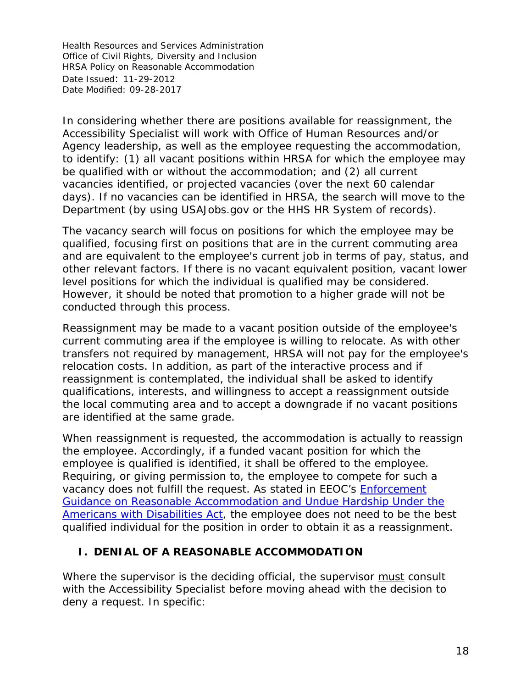In considering whether there are positions available for reassignment, the Accessibility Specialist will work with Office of Human Resources and/or Agency leadership, as well as the employee requesting the accommodation, to identify: (1) all vacant positions within HRSA for which the employee may be qualified with or without the accommodation; and (2) all current vacancies identified, or projected vacancies (over the next 60 calendar days). If no vacancies can be identified in HRSA, the search will move to the Department (by using USAJobs.gov or the HHS HR System of records).

The vacancy search will focus on positions for which the employee may be qualified, focusing first on positions that are in the current commuting area and are equivalent to the employee's current job in terms of pay, status, and other relevant factors. If there is no vacant equivalent position, vacant lower level positions for which the individual is qualified may be considered. However, it should be noted that promotion to a higher grade will not be conducted through this process.

Reassignment may be made to a vacant position outside of the employee's current commuting area if the employee is willing to relocate. As with other transfers not required by management, HRSA will not pay for the employee's relocation costs. In addition, as part of the interactive process and if reassignment is contemplated, the individual shall be asked to identify qualifications, interests, and willingness to accept a reassignment outside the local commuting area and to accept a downgrade if no vacant positions are identified at the same grade.

When reassignment is requested, the accommodation is actually to reassign the employee. Accordingly, if a funded vacant position for which the employee is qualified is identified, it shall be offered to the employee. Requiring, or giving permission to, the employee to compete for such a vacancy does not fulfill the request. As stated in EEOC's *[Enforcement](https://www.eeoc.gov/policy/docs/accommodation.html#reassignment)  Guidance [on Reasonable Accommodation and Undue Hardship Under the](https://www.eeoc.gov/policy/docs/accommodation.html#reassignment)  [Americans with Disabilities Act](https://www.eeoc.gov/policy/docs/accommodation.html#reassignment)*, the employee does not need to be the best qualified individual for the position in order to obtain it as a reassignment.

#### <span id="page-17-0"></span>**I. DENIAL OF A REASONABLE ACCOMMODATION**

Where the supervisor is the deciding official, the supervisor must consult with the Accessibility Specialist before moving ahead with the decision to deny a request. In specific: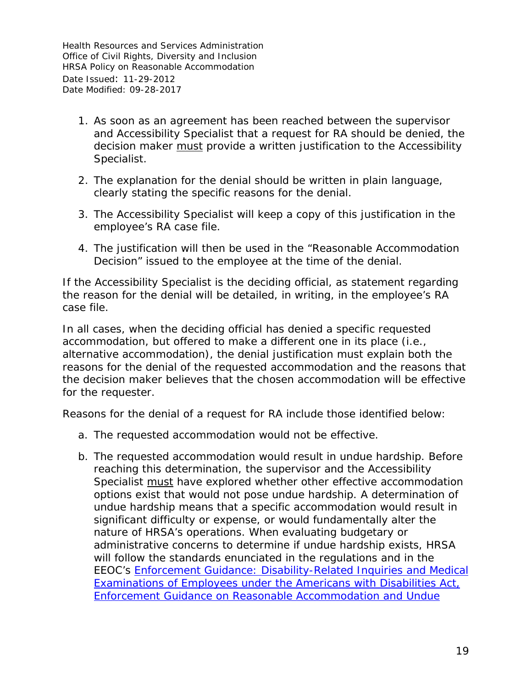- 1. As soon as an agreement has been reached between the supervisor and Accessibility Specialist that a request for RA should be denied, the decision maker must provide a written justification to the Accessibility Specialist.
- 2. The explanation for the denial should be written in plain language, clearly stating the specific reasons for the denial.
- 3. The Accessibility Specialist will keep a copy of this justification in the employee's RA case file.
- 4. The justification will then be used in the "Reasonable Accommodation Decision" issued to the employee at the time of the denial.

If the Accessibility Specialist is the deciding official, as statement regarding the reason for the denial will be detailed, in writing, in the employee's RA case file.

In all cases, when the deciding official has denied a specific requested accommodation, but offered to make a different one in its place (i.e., alternative accommodation), the denial justification must explain both the reasons for the denial of the requested accommodation and the reasons that the decision maker believes that the chosen accommodation will be effective for the requester.

Reasons for the denial of a request for RA include those identified below:

- a. The requested accommodation would not be effective.
- b. The requested accommodation would result in undue hardship. Before reaching this determination, the supervisor and the Accessibility Specialist must have explored whether other effective accommodation options exist that would *not* pose undue hardship. A determination of undue hardship means that a specific accommodation would result in significant difficulty or expense, or would fundamentally alter the nature of HRSA's operations. When evaluating budgetary or administrative concerns to determine if undue hardship exists, HRSA will follow the standards enunciated in the regulations and in the EEOC's *[Enforcement Guidance: Disability-Related Inquiries and Medical](http://www.eeoc.gov/policy/docs/guidance-inquiries.html)  [Examinations of Employees under the Americans with Disabilities Act,](http://www.eeoc.gov/policy/docs/guidance-inquiries.html) [Enforcement Guidance on Reasonable Accommodation and Undue](https://www.eeoc.gov/policy/docs/accommodation.html)*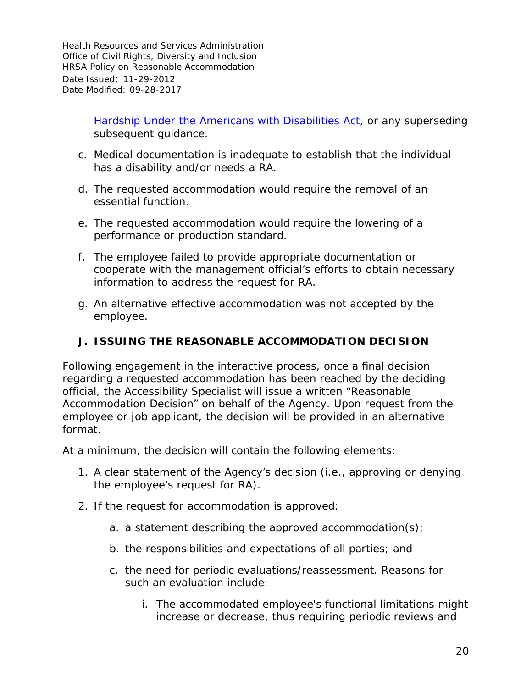> *[Hardship Under the Americans with Disabilities Act,](https://www.eeoc.gov/policy/docs/accommodation.html)* or any superseding subsequent guidance.

- c. Medical documentation is inadequate to establish that the individual has a disability and/or needs a RA.
- d. The requested accommodation would require the removal of an essential function.
- e. The requested accommodation would require the lowering of a performance or production standard.
- f. The employee failed to provide appropriate documentation or cooperate with the management official's efforts to obtain necessary information to address the request for RA.
- g. An alternative effective accommodation was not accepted by the employee.

# <span id="page-19-0"></span>**J. ISSUING THE REASONABLE ACCOMMODATION DECISION**

Following engagement in the interactive process, once a final decision regarding a requested accommodation has been reached by the deciding official, the Accessibility Specialist will issue a written "Reasonable Accommodation Decision" on behalf of the Agency. Upon request from the employee or job applicant, the decision will be provided in an alternative format.

At a minimum, the decision will contain the following elements:

- 1. A clear statement of the Agency's decision (i.e., approving or denying the employee's request for RA).
- 2. If the request for accommodation is approved:
	- a. a statement describing the approved accommodation(s);
	- b. the responsibilities and expectations of all parties; and
	- c. the need for periodic evaluations/reassessment. Reasons for such an evaluation include:
		- i. The accommodated employee's functional limitations might increase or decrease, thus requiring periodic reviews and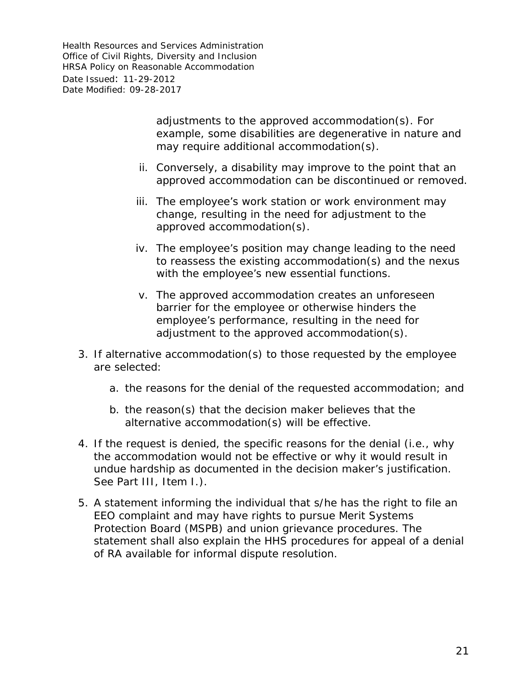> adjustments to the approved accommodation(s). For example, some disabilities are degenerative in nature and may require additional accommodation(s).

- ii. Conversely, a disability may improve to the point that an approved accommodation can be discontinued or removed.
- iii. The employee's work station or work environment may change, resulting in the need for adjustment to the approved accommodation(s).
- iv. The employee's position may change leading to the need to reassess the existing accommodation(s) and the nexus with the employee's new essential functions.
- v. The approved accommodation creates an unforeseen barrier for the employee or otherwise hinders the employee's performance, resulting in the need for adjustment to the approved accommodation(s).
- 3. If alternative accommodation(s) to those requested by the employee are selected:
	- a. the reasons for the denial of the requested accommodation; and
	- b. the reason(s) that the decision maker believes that the alternative accommodation(s) will be effective.
- 4. If the request is denied, the specific reasons for the denial (i.e., *why* the accommodation would not be effective or *why* it would result in undue hardship as documented in the decision maker's justification. See Part III, Item I.).
- 5. A statement informing the individual that s/he has the right to file an EEO complaint and may have rights to pursue Merit Systems Protection Board (MSPB) and union grievance procedures. The statement shall also explain the HHS procedures for appeal of a denial of RA available for informal dispute resolution.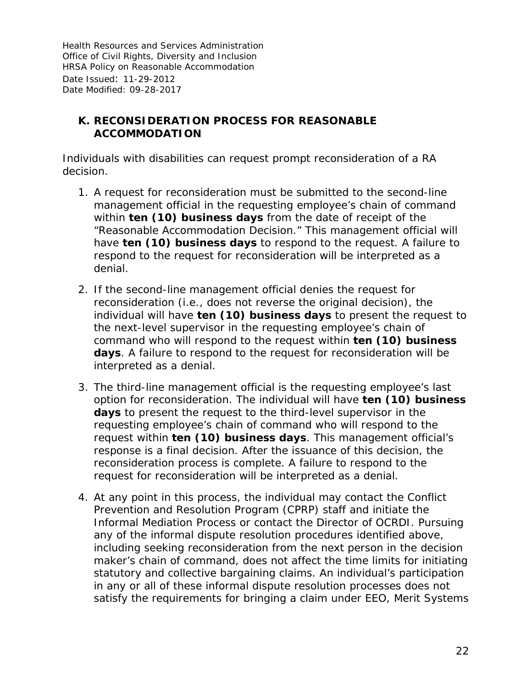### <span id="page-21-0"></span>**K. RECONSIDERATION PROCESS FOR REASONABLE ACCOMMODATION**

Individuals with disabilities can request prompt reconsideration of a RA decision.

- 1. A request for reconsideration must be submitted to the second-line management official in the requesting employee's chain of command within *ten (10) business days* from the date of receipt of the "Reasonable Accommodation Decision." This management official will have *ten (10) business days* to respond to the request. A failure to respond to the request for reconsideration will be interpreted as a denial.
- 2. If the second-line management official denies the request for reconsideration (i.e., does not reverse the original decision), the individual will have *ten (10) business days* to present the request to the next-level supervisor in the requesting employee's chain of command who will respond to the request within *ten (10) business*  days. A failure to respond to the request for reconsideration will be interpreted as a denial.
- 3. The third-line management official is the requesting employee's last option for reconsideration. The individual will have *ten (10) business*  days to present the request to the third-level supervisor in the requesting employee's chain of command who will respond to the request within *ten (10) business days*. This management official's response is a final decision. After the issuance of this decision, the reconsideration process is complete. A failure to respond to the request for reconsideration will be interpreted as a denial.
- 4. At any point in this process, the individual may contact the Conflict Prevention and Resolution Program (CPRP) staff and initiate the Informal Mediation Process or contact the Director of OCRDI. Pursuing any of the informal dispute resolution procedures identified above, including seeking reconsideration from the next person in the decision maker's chain of command, does not affect the time limits for initiating statutory and collective bargaining claims. An individual's participation in any or all of these informal dispute resolution processes does not satisfy the requirements for bringing a claim under EEO, Merit Systems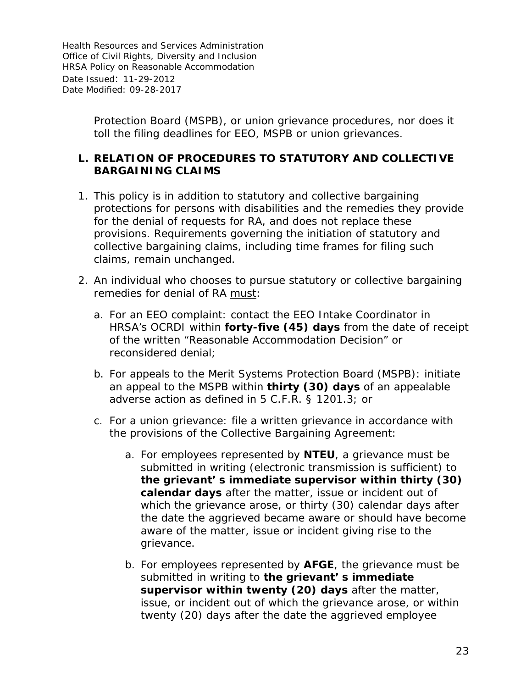> Protection Board (MSPB), or union grievance procedures, nor does it toll the filing deadlines for EEO, MSPB or union grievances.

#### <span id="page-22-0"></span>**L. RELATION OF PROCEDURES TO STATUTORY AND COLLECTIVE BARGAINING CLAIMS**

- 1. This policy is in addition to statutory and collective bargaining protections for persons with disabilities and the remedies they provide for the denial of requests for RA, and does not replace these provisions. Requirements governing the initiation of statutory and collective bargaining claims, including time frames for filing such claims, remain unchanged.
- 2. An individual who chooses to pursue statutory or collective bargaining remedies for denial of RA must:
	- a. For an EEO complaint: contact the EEO Intake Coordinator in HRSA's OCRDI within *forty-five (45) days* from the date of receipt of the written "Reasonable Accommodation Decision" or reconsidered denial;
	- b. For appeals to the Merit Systems Protection Board (MSPB): initiate an appeal to the MSPB within *thirty (30) days* of an appealable adverse action as defined in 5 C.F.R. § 1201.3; or
	- c. For a union grievance: file a written grievance in accordance with the provisions of the Collective Bargaining Agreement:
		- a. For employees represented by **NTEU**, a grievance must be submitted in writing (electronic transmission is sufficient) to **the grievant' s immediate supervisor within thirty (30) calendar days** after the matter, issue or incident out of which the grievance arose, or thirty (30) calendar days after the date the aggrieved became aware or should have become aware of the matter, issue or incident giving rise to the grievance.
		- b. For employees represented by **AFGE**, the grievance must be submitted in writing to **the grievant' s immediate supervisor within twenty (20) days** after the matter, issue, or incident out of which the grievance arose, or within twenty (20) days after the date the aggrieved employee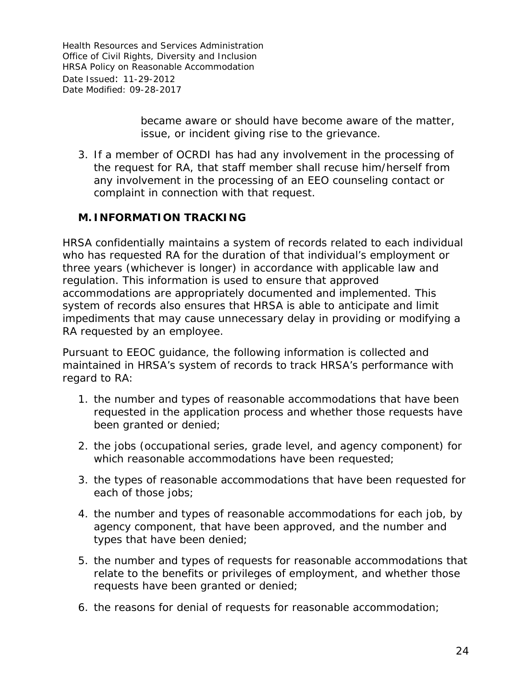> became aware or should have become aware of the matter, issue, or incident giving rise to the grievance.

3. If a member of OCRDI has had any involvement in the processing of the request for RA, that staff member shall recuse him/herself from any involvement in the processing of an EEO counseling contact or complaint in connection with that request.

#### <span id="page-23-0"></span>**M. INFORMATION TRACKING**

HRSA confidentially maintains a system of records related to each individual who has requested RA for the duration of that individual's employment or three years (whichever is longer) in accordance with applicable law and regulation. This information is used to ensure that approved accommodations are appropriately documented and implemented. This system of records also ensures that HRSA is able to anticipate and limit impediments that may cause unnecessary delay in providing or modifying a RA requested by an employee.

Pursuant to EEOC guidance, the following information is collected and maintained in HRSA's system of records to track HRSA's performance with regard to RA:

- 1. the number and types of reasonable accommodations that have been requested in the application process and whether those requests have been granted or denied;
- 2. the jobs (occupational series, grade level, and agency component) for which reasonable accommodations have been requested;
- 3. the types of reasonable accommodations that have been requested for each of those jobs;
- 4. the number and types of reasonable accommodations for each job, by agency component, that have been approved, and the number and types that have been denied;
- 5. the number and types of requests for reasonable accommodations that relate to the benefits or privileges of employment, and whether those requests have been granted or denied;
- 6. the reasons for denial of requests for reasonable accommodation;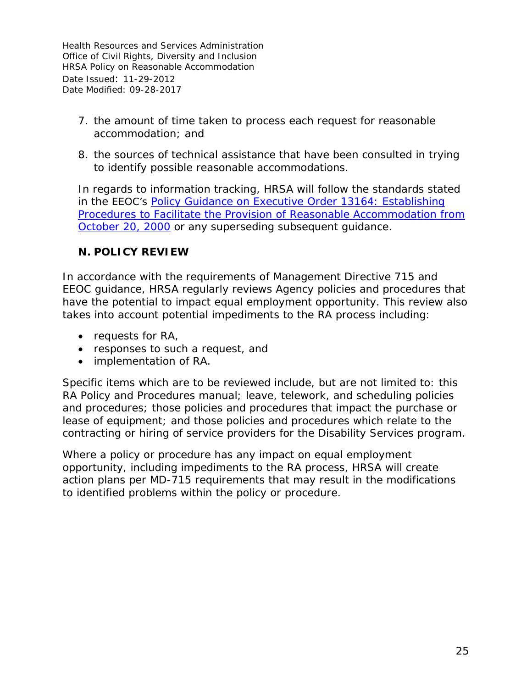- 7. the amount of time taken to process each request for reasonable accommodation; and
- 8. the sources of technical assistance that have been consulted in trying to identify possible reasonable accommodations.

In regards to information tracking, HRSA will follow the standards stated in the *EEOC's [Policy Guidance on Executive Order 13164: Establishing](http://www.eeoc.gov/policy/docs/accommodation_procedures.html)  [Procedures to Facilitate the Provision of Reasonable Accommodation from](http://www.eeoc.gov/policy/docs/accommodation_procedures.html)  [October 20, 2000](http://www.eeoc.gov/policy/docs/accommodation_procedures.html)* or any superseding subsequent guidance.

#### <span id="page-24-0"></span>**N. POLICY REVIEW**

In accordance with the requirements of Management Directive 715 and EEOC guidance, HRSA regularly reviews Agency policies and procedures that have the potential to impact equal employment opportunity. This review also takes into account potential impediments to the RA process including:

- requests for RA,
- responses to such a request, and
- implementation of RA.

Specific items which are to be reviewed include, but are not limited to: this RA Policy and Procedures manual; leave, telework, and scheduling policies and procedures; those policies and procedures that impact the purchase or lease of equipment; and those policies and procedures which relate to the contracting or hiring of service providers for the Disability Services program.

Where a policy or procedure has any impact on equal employment opportunity, including impediments to the RA process, HRSA will create action plans per MD-715 requirements that may result in the modifications to identified problems within the policy or procedure.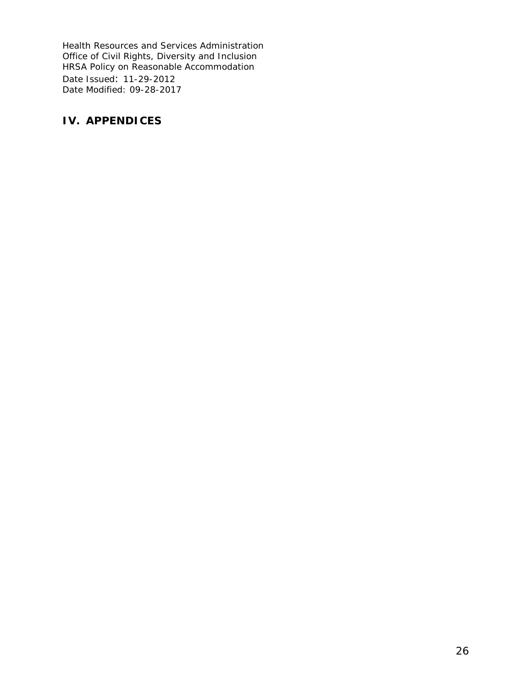#### <span id="page-25-0"></span>**IV. APPENDICES**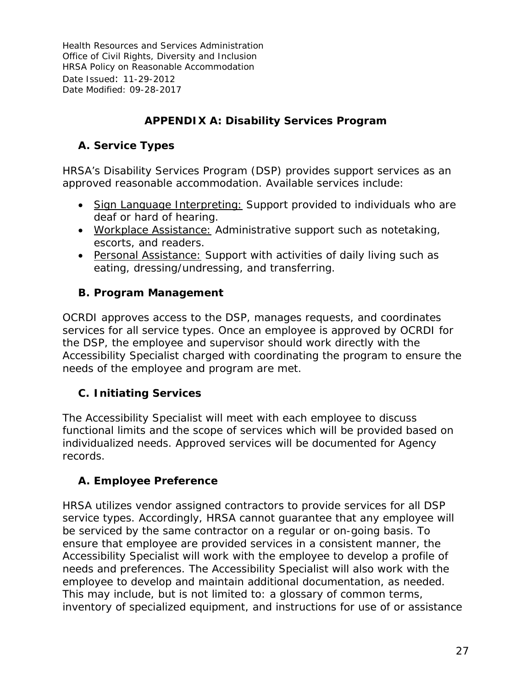# **APPENDIX A: Disability Services Program**

# <span id="page-26-1"></span><span id="page-26-0"></span>**A. Service Types**

HRSA's Disability Services Program (DSP) provides support services as an approved reasonable accommodation. Available services include:

- Sign Language Interpreting: Support provided to individuals who are deaf or hard of hearing.
- Workplace Assistance: Administrative support such as notetaking, escorts, and readers.
- Personal Assistance: Support with activities of daily living such as eating, dressing/undressing, and transferring.

# <span id="page-26-2"></span>**B. Program Management**

OCRDI approves access to the DSP, manages requests, and coordinates services for all service types. Once an employee is approved by OCRDI for the DSP, the employee and supervisor should work directly with the Accessibility Specialist charged with coordinating the program to ensure the needs of the employee and program are met.

# <span id="page-26-3"></span>**C. Initiating Services**

The Accessibility Specialist will meet with each employee to discuss functional limits and the scope of services which will be provided based on individualized needs. Approved services will be documented for Agency records.

# <span id="page-26-4"></span>**A. Employee Preference**

HRSA utilizes vendor assigned contractors to provide services for all DSP service types. Accordingly, HRSA cannot guarantee that any employee will be serviced by the same contractor on a regular or on-going basis. To ensure that employee are provided services in a consistent manner, the Accessibility Specialist will work with the employee to develop a profile of needs and preferences. The Accessibility Specialist will also work with the employee to develop and maintain additional documentation, as needed. This may include, but is not limited to: a glossary of common terms, inventory of specialized equipment, and instructions for use of or assistance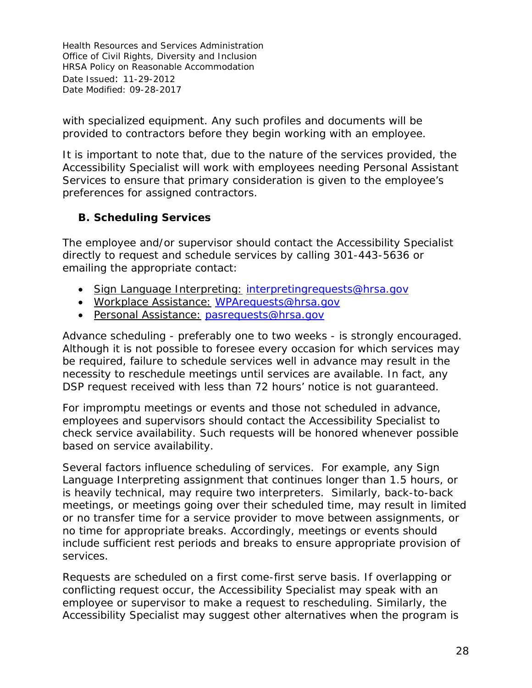with specialized equipment. Any such profiles and documents will be provided to contractors before they begin working with an employee.

It is important to note that, due to the nature of the services provided, the Accessibility Specialist will work with employees needing Personal Assistant Services to ensure that primary consideration is given to the employee's preferences for assigned contractors.

# <span id="page-27-0"></span>**B. Scheduling Services**

The employee and/or supervisor should contact the Accessibility Specialist directly to request and schedule services by calling 301-443-5636 or emailing the appropriate contact:

- Sign Language Interpreting: [interpretingrequests@hrsa.gov](mailto:interpretingrequests@hrsa.gov)
- Workplace Assistance: [WPArequests@hrsa.gov](mailto:WPArequests@hrsa.gov)
- Personal Assistance: pasrequests@hrsa.gov

Advance scheduling - preferably one to two weeks - is strongly encouraged. Although it is not possible to foresee every occasion for which services may be required, failure to schedule services well in advance may result in the necessity to reschedule meetings until services are available. In fact, any DSP request received with less than 72 hours' notice is not guaranteed.

For impromptu meetings or events and those not scheduled in advance, employees and supervisors should contact the Accessibility Specialist to check service availability. Such requests will be honored whenever possible based on service availability.

Several factors influence scheduling of services. For example, any Sign Language Interpreting assignment that continues longer than 1.5 hours, or is heavily technical, may require two interpreters. Similarly, back-to-back meetings, or meetings going over their scheduled time, may result in limited or no transfer time for a service provider to move between assignments, or no time for appropriate breaks. Accordingly, meetings or events should include sufficient rest periods and breaks to ensure appropriate provision of services.

Requests are scheduled on a first come-first serve basis. If overlapping or conflicting request occur, the Accessibility Specialist may speak with an employee or supervisor to make a request to rescheduling. Similarly, the Accessibility Specialist may suggest other alternatives when the program is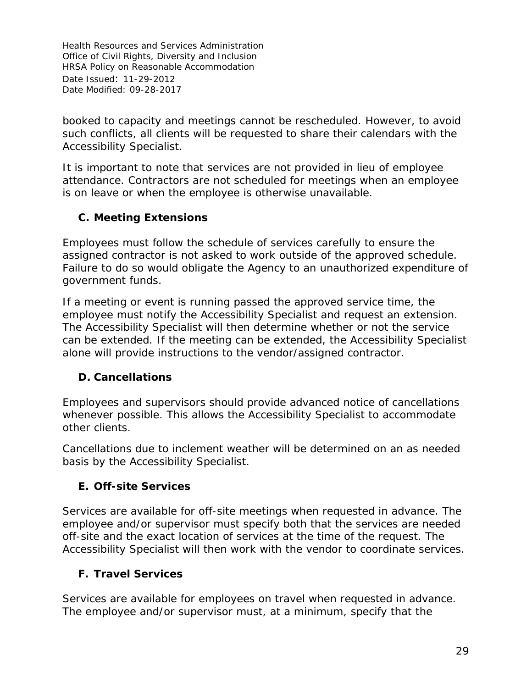booked to capacity and meetings cannot be rescheduled. However, to avoid such conflicts, all clients will be requested to share their calendars with the Accessibility Specialist.

It is important to note that services are not provided in lieu of employee attendance. Contractors are not scheduled for meetings when an employee is on leave or when the employee is otherwise unavailable.

# <span id="page-28-0"></span>**C. Meeting Extensions**

Employees must follow the schedule of services carefully to ensure the assigned contractor is not asked to work outside of the approved schedule. Failure to do so would obligate the Agency to an unauthorized expenditure of government funds.

If a meeting or event is running passed the approved service time, the employee must notify the Accessibility Specialist and request an extension. The Accessibility Specialist will then determine whether or not the service can be extended. If the meeting can be extended, the Accessibility Specialist alone will provide instructions to the vendor/assigned contractor.

# <span id="page-28-1"></span>**D. Cancellations**

Employees and supervisors should provide advanced notice of cancellations whenever possible. This allows the Accessibility Specialist to accommodate other clients.

Cancellations due to inclement weather will be determined on an as needed basis by the Accessibility Specialist.

# <span id="page-28-2"></span>**E. Off-site Services**

Services are available for off-site meetings when requested in advance. The employee and/or supervisor must specify both that the services are needed off-site and the exact location of services at the time of the request. The Accessibility Specialist will then work with the vendor to coordinate services.

# <span id="page-28-3"></span>**F. Travel Services**

Services are available for employees on travel when requested in advance. The employee and/or supervisor must, at a minimum, specify that the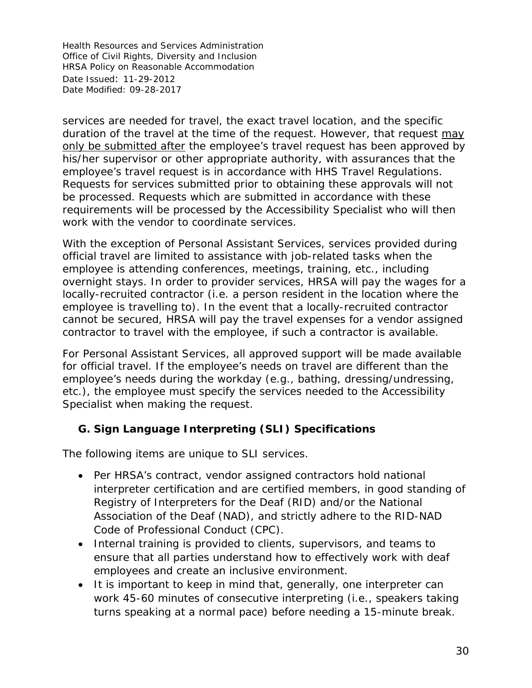services are needed for travel, the exact travel location, and the specific duration of the travel at the time of the request. However, that request may only be submitted after the employee's travel request has been approved by his/her supervisor or other appropriate authority, with assurances that the employee's travel request is in accordance with HHS Travel Regulations. Requests for services submitted prior to obtaining these approvals will not be processed. Requests which are submitted in accordance with these requirements will be processed by the Accessibility Specialist who will then work with the vendor to coordinate services.

With the exception of Personal Assistant Services, services provided during official travel are limited to assistance with job-related tasks when the employee is attending conferences, meetings, training, etc., including overnight stays. In order to provider services, HRSA will pay the wages for a locally-recruited contractor (i.e. a person resident in the location where the employee is travelling to). In the event that a locally-recruited contractor cannot be secured, HRSA will pay the travel expenses for a vendor assigned contractor to travel with the employee, if such a contractor is available.

For Personal Assistant Services, all approved support will be made available for official travel. If the employee's needs on travel are different than the employee's needs during the workday (e.g., bathing, dressing/undressing, etc.), the employee must specify the services needed to the Accessibility Specialist when making the request.

# <span id="page-29-0"></span>**G. Sign Language Interpreting (SLI) Specifications**

The following items are unique to SLI services.

- Per HRSA's contract, vendor assigned contractors hold national interpreter certification and are certified members, in good standing of Registry of Interpreters for the Deaf (RID) and/or the National Association of the Deaf (NAD), and strictly adhere to the RID-NAD Code of Professional Conduct (CPC).
- Internal training is provided to clients, supervisors, and teams to ensure that all parties understand how to effectively work with deaf employees and create an inclusive environment.
- It is important to keep in mind that, generally, one interpreter can work 45-60 minutes of consecutive interpreting (i.e., speakers taking turns speaking at a normal pace) before needing a 15-minute break.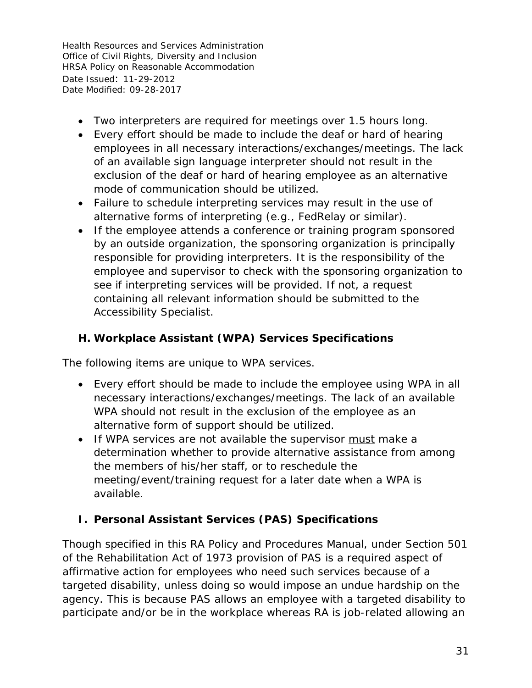- Two interpreters are required for meetings over 1.5 hours long.
- Every effort should be made to include the deaf or hard of hearing employees in all necessary interactions/exchanges/meetings. The lack of an available sign language interpreter should not result in the exclusion of the deaf or hard of hearing employee as an alternative mode of communication should be utilized.
- Failure to schedule interpreting services may result in the use of alternative forms of interpreting (e.g., FedRelay or similar).
- If the employee attends a conference or training program sponsored by an outside organization, the sponsoring organization is principally responsible for providing interpreters. It is the responsibility of the employee and supervisor to check with the sponsoring organization to see if interpreting services will be provided. If not, a request containing all relevant information should be submitted to the Accessibility Specialist.

# <span id="page-30-0"></span>**H. Workplace Assistant (WPA) Services Specifications**

The following items are unique to WPA services.

- Every effort should be made to include the employee using WPA in all necessary interactions/exchanges/meetings. The lack of an available WPA should not result in the exclusion of the employee as an alternative form of support should be utilized.
- If WPA services are not available the supervisor must make a determination whether to provide alternative assistance from among the members of his/her staff, or to reschedule the meeting/event/training request for a later date when a WPA is available.

# <span id="page-30-1"></span>**I. Personal Assistant Services (PAS) Specifications**

Though specified in this RA Policy and Procedures Manual, under Section 501 of the Rehabilitation Act of 1973 provision of PAS is a required aspect of affirmative action for employees who need such services because of a targeted disability, unless doing so would impose an undue hardship on the agency. This is because PAS allows an employee with a targeted disability to participate and/or be in the workplace whereas RA is job-related allowing an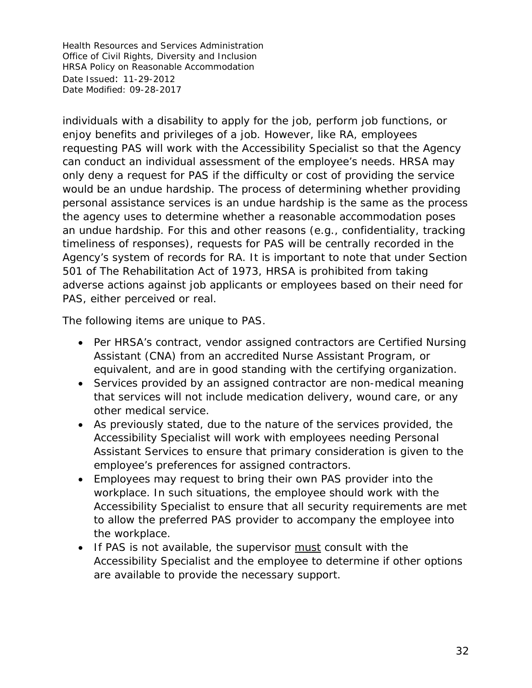individuals with a disability to apply for the job, perform job functions, or enjoy benefits and privileges of a job. However, like RA, employees requesting PAS will work with the Accessibility Specialist so that the Agency can conduct an individual assessment of the employee's needs. HRSA may only deny a request for PAS if the difficulty or cost of providing the service would be an undue hardship. The process of determining whether providing personal assistance services is an undue hardship is the same as the process the agency uses to determine whether a reasonable accommodation poses an undue hardship. For this and other reasons (e.g., confidentiality, tracking timeliness of responses), requests for PAS will be centrally recorded in the Agency's system of records for RA. It is important to note that under Section 501 of The Rehabilitation Act of 1973, HRSA is prohibited from taking adverse actions against job applicants or employees based on their need for PAS, either perceived or real.

The following items are unique to PAS.

- Per HRSA's contract, vendor assigned contractors are Certified Nursing Assistant (CNA) from an accredited Nurse Assistant Program, or equivalent, and are in good standing with the certifying organization.
- Services provided by an assigned contractor are non-medical meaning that services will not include medication delivery, wound care, or any other medical service.
- As previously stated, due to the nature of the services provided, the Accessibility Specialist will work with employees needing Personal Assistant Services to ensure that primary consideration is given to the employee's preferences for assigned contractors.
- Employees may request to bring their own PAS provider into the workplace. In such situations, the employee should work with the Accessibility Specialist to ensure that all security requirements are met to allow the preferred PAS provider to accompany the employee into the workplace.
- If PAS is not available, the supervisor must consult with the Accessibility Specialist and the employee to determine if other options are available to provide the necessary support.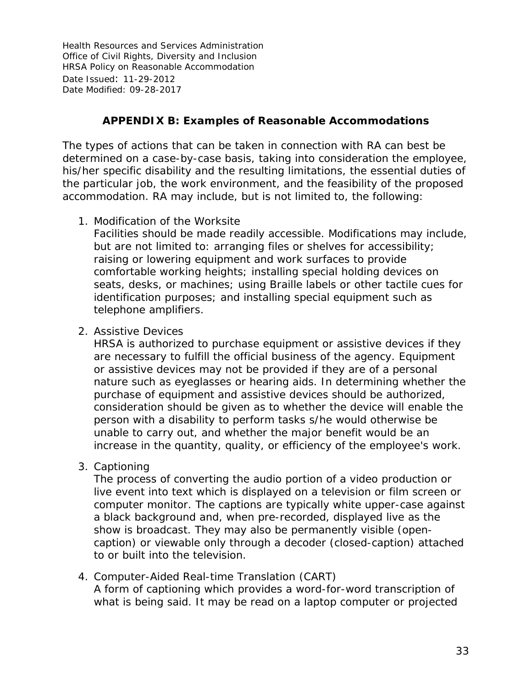### **APPENDIX B: Examples of Reasonable Accommodations**

<span id="page-32-0"></span>The types of actions that can be taken in connection with RA can best be determined on a case-by-case basis, taking into consideration the employee, his/her specific disability and the resulting limitations, the essential duties of the particular job, the work environment, and the feasibility of the proposed accommodation. RA may include, but is not limited to, the following:

1. Modification of the Worksite

Facilities should be made readily accessible. Modifications may include, but are not limited to: arranging files or shelves for accessibility; raising or lowering equipment and work surfaces to provide comfortable working heights; installing special holding devices on seats, desks, or machines; using Braille labels or other tactile cues for identification purposes; and installing special equipment such as telephone amplifiers.

2. Assistive Devices

HRSA is authorized to purchase equipment or assistive devices if they are necessary to fulfill the official business of the agency. Equipment or assistive devices may not be provided if they are of a personal nature such as eyeglasses or hearing aids. In determining whether the purchase of equipment and assistive devices should be authorized, consideration should be given as to whether the device will enable the person with a disability to perform tasks s/he would otherwise be unable to carry out, and whether the major benefit would be an increase in the quantity, quality, or efficiency of the employee's work.

3. Captioning

The process of converting the audio portion of a video production or live event into text which is displayed on a television or film screen or computer monitor. The captions are typically white upper-case against a black background and, when pre-recorded, displayed live as the show is broadcast. They may also be permanently visible (opencaption) or viewable only through a decoder (closed-caption) attached to or built into the television.

4. Computer-Aided Real-time Translation (CART) A form of captioning which provides a word-for-word transcription of what is being said. It may be read on a laptop computer or projected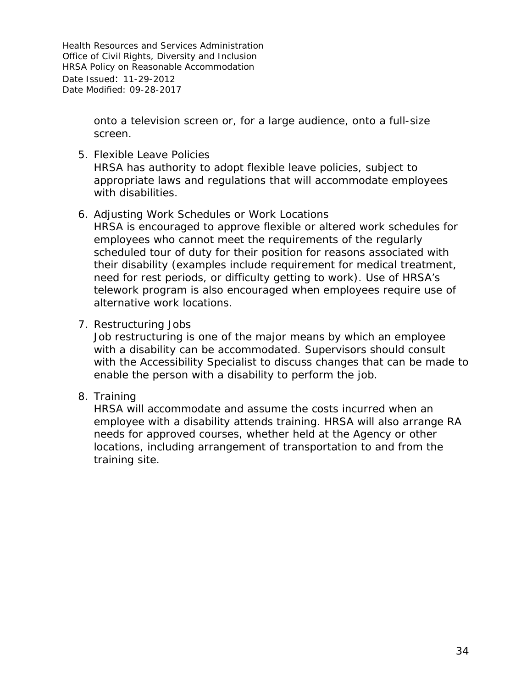> onto a television screen or, for a large audience, onto a full-size screen.

- 5. Flexible Leave Policies HRSA has authority to adopt flexible leave policies, subject to appropriate laws and regulations that will accommodate employees with disabilities.
- 6. Adjusting Work Schedules or Work Locations

HRSA is encouraged to approve flexible or altered work schedules for employees who cannot meet the requirements of the regularly scheduled tour of duty for their position for reasons associated with their disability (examples include requirement for medical treatment, need for rest periods, or difficulty getting to work). Use of HRSA's telework program is also encouraged when employees require use of alternative work locations.

7. Restructuring Jobs

Job restructuring is one of the major means by which an employee with a disability can be accommodated. Supervisors should consult with the Accessibility Specialist to discuss changes that can be made to enable the person with a disability to perform the job.

8. Training

HRSA will accommodate and assume the costs incurred when an employee with a disability attends training. HRSA will also arrange RA needs for approved courses, whether held at the Agency or other locations, including arrangement of transportation to and from the training site.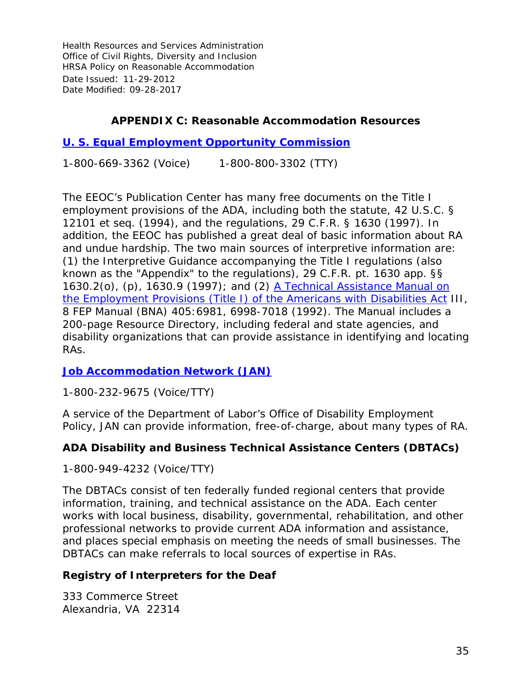### **APPENDIX C: Reasonable Accommodation Resources**

### <span id="page-34-0"></span>**[U. S. Equal Employment Opportunity Commission](http://www.eeoc.gov/)**

1-800-669-3362 (Voice) 1-800-800-3302 (TTY)

The EEOC's Publication Center has many free documents on the Title I employment provisions of the ADA, including both the statute, 42 U.S.C. § 12101 et seq. (1994), and the regulations, 29 C.F.R. § 1630 (1997). In addition, the EEOC has published a great deal of basic information about RA and undue hardship. The two main sources of interpretive information are: (1) the Interpretive Guidance accompanying the Title I regulations (also known as the "Appendix" to the regulations), 29 C.F.R. pt. 1630 app. §§ 1630.2(o), (p), 1630.9 (1997); and (2) A Technical Assistance Manual on [the Employment Provisions \(Title I\) of the Americans with Disabilities Act](http://www.eeoc.gov/policy/docs/adamanual_add.html) III, 8 FEP Manual (BNA) 405:6981, 6998-7018 (1992). The Manual includes a 200-page Resource Directory, including federal and state agencies, and disability organizations that can provide assistance in identifying and locating RAs.

#### **[Job Accommodation Network \(JAN\)](http://janweb.icdi.wvu.edu/)**

1-800-232-9675 (Voice/TTY)

A service of the Department of Labor's Office of Disability Employment Policy, JAN can provide information, free-of-charge, about many types of RA.

#### **ADA Disability and Business Technical Assistance Centers (DBTACs)**

1-800-949-4232 (Voice/TTY)

The DBTACs consist of ten federally funded regional centers that provide information, training, and technical assistance on the ADA. Each center works with local business, disability, governmental, rehabilitation, and other professional networks to provide current ADA information and assistance, and places special emphasis on meeting the needs of small businesses. The DBTACs can make referrals to local sources of expertise in RAs.

#### **Registry of Interpreters for the Deaf**

333 Commerce Street Alexandria, VA 22314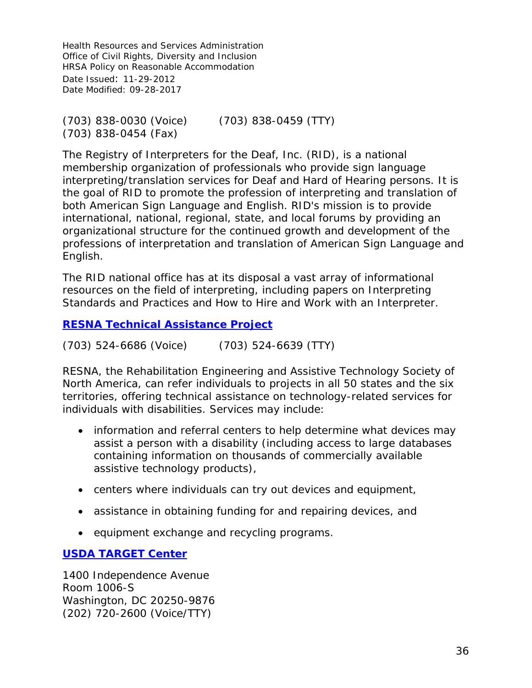(703) 838-0030 (Voice) (703) 838-0459 (TTY) (703) 838-0454 (Fax)

The Registry of Interpreters for the Deaf, Inc. (RID), is a national membership organization of professionals who provide sign language interpreting/translation services for Deaf and Hard of Hearing persons. It is the goal of RID to promote the profession of interpreting and translation of both American Sign Language and English. RID's mission is to provide international, national, regional, state, and local forums by providing an organizational structure for the continued growth and development of the professions of interpretation and translation of American Sign Language and English.

The RID national office has at its disposal a vast array of informational resources on the field of interpreting, including papers on Interpreting Standards and Practices and How to Hire and Work with an Interpreter.

**[RESNA Technical Assistance Project](http://www.resna.org/)**

(703) 524-6686 (Voice) (703) 524-6639 (TTY)

RESNA, the Rehabilitation Engineering and Assistive Technology Society of North America, can refer individuals to projects in all 50 states and the six territories, offering technical assistance on technology-related services for individuals with disabilities. Services may include:

- information and referral centers to help determine what devices may assist a person with a disability (including access to large databases containing information on thousands of commercially available assistive technology products),
- centers where individuals can try out devices and equipment,
- assistance in obtaining funding for and repairing devices, and
- equipment exchange and recycling programs.

#### **[USDA TARGET Center](https://www.targetcenter.dm.usda.gov/)**

1400 Independence Avenue Room 1006-S Washington, DC 20250-9876 (202) 720-2600 (Voice/TTY)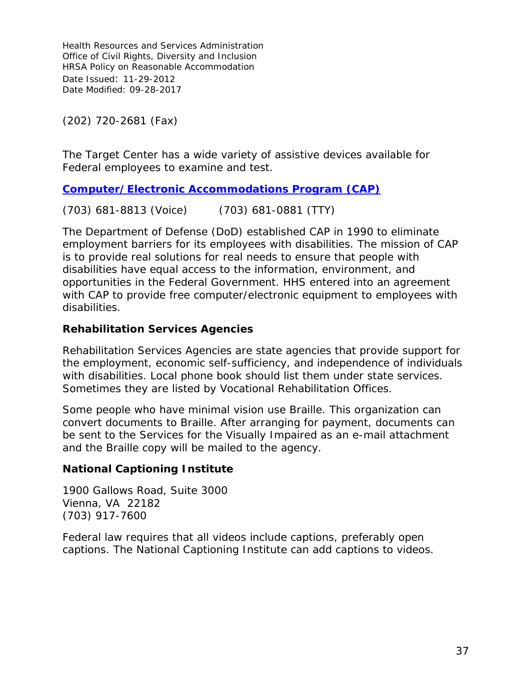(202) 720-2681 (Fax)

The Target Center has a wide variety of assistive devices available for Federal employees to examine and test.

**[Computer/Electronic Accommodations Program \(CAP\)](http://www.cap.mil/)**

(703) 681-8813 (Voice) (703) 681-0881 (TTY)

The Department of Defense (DoD) established CAP in 1990 to eliminate employment barriers for its employees with disabilities. The mission of CAP is to provide real solutions for real needs to ensure that people with disabilities have equal access to the information, environment, and opportunities in the Federal Government. HHS entered into an agreement with CAP to provide free computer/electronic equipment to employees with disabilities.

#### **Rehabilitation Services Agencies**

Rehabilitation Services Agencies are state agencies that provide support for the employment, economic self-sufficiency, and independence of individuals with disabilities. Local phone book should list them under state services. Sometimes they are listed by Vocational Rehabilitation Offices.

Some people who have minimal vision use Braille. This organization can convert documents to Braille. After arranging for payment, documents can be sent to the Services for the Visually Impaired as an e-mail attachment and the Braille copy will be mailed to the agency.

#### **National Captioning Institute**

1900 Gallows Road, Suite 3000 Vienna, VA 22182 (703) 917-7600

Federal law requires that all videos include captions, preferably open captions. The National Captioning Institute can add captions to videos.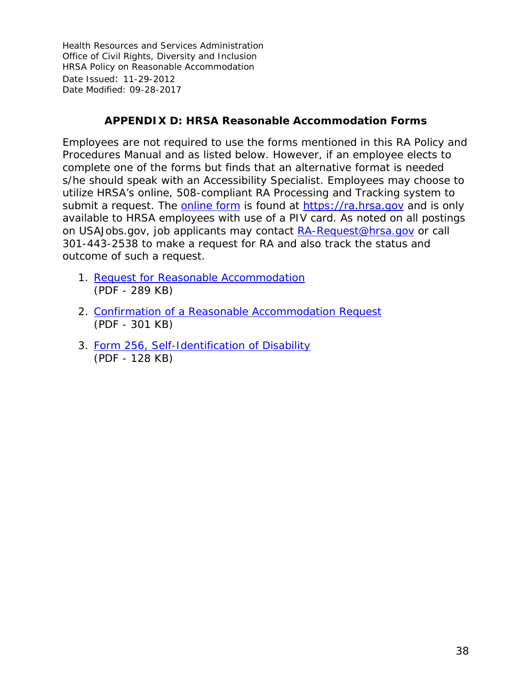#### **APPENDIX D: HRSA Reasonable Accommodation Forms**

<span id="page-37-0"></span>Employees are not required to use the forms mentioned in this RA Policy and Procedures Manual and as listed below. However, if an employee elects to complete one of the forms but finds that an alternative format is needed s/he should speak with an Accessibility Specialist. Employees may choose to utilize HRSA's online, 508-compliant RA Processing and Tracking system to submit a request. The [online form](https://ra.hrsa.gov) is found at <https://ra.hrsa.gov> and is only available to HRSA employees with use of a PIV card. As noted on all postings on USAJobs.gov, job applicants may contact [RA-Request@hrsa.gov](mailto:RA-Request@hrsa.gov) or call 301-443-2538 to make a request for RA and also track the status and outcome of such a request.

- 1. [Request for Reasonable Accommodation](http://www.hrsa.gov/hr/nofearact/forms/requestforRA.pdf) (PDF - 289 KB)
- 2. [Confirmation of a Reasonable Accommodation Request](http://www.hrsa.gov/hr/nofearact/forms/confirmationRArequest.pdf) (PDF - 301 KB)
- 3. [Form 256, Self-Identification of Disability](http://www.hrsa.gov/hr/nofearact/forms/authorizationdisclosureinfo.pdf) (PDF - 128 KB)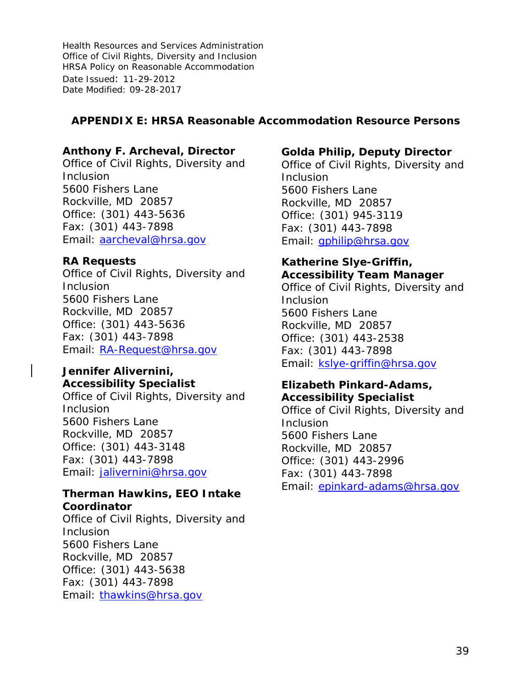#### <span id="page-38-0"></span>**APPENDIX E: HRSA Reasonable Accommodation Resource Persons**

#### **Anthony F. Archeval, Director**

Office of Civil Rights, Diversity and Inclusion 5600 Fishers Lane Rockville, MD 20857 Office: (301) 443-5636 Fax: (301) 443-7898 Email: [aarcheval@hrsa.gov](mailto:aarcheval@hrsa.gov)

#### **RA Requests**

Office of Civil Rights, Diversity and Inclusion 5600 Fishers Lane Rockville, MD 20857 Office: (301) 443-5636 Fax: (301) 443-7898 Email: [RA-Request@hrsa.gov](mailto:RA-Request@hrsa.gov)

#### **Jennifer Alivernini, Accessibility Specialist**

Office of Civil Rights, Diversity and Inclusion 5600 Fishers Lane Rockville, MD 20857 Office: (301) 443-3148 Fax: (301) 443-7898 Email: [jalivernini@hrsa.gov](mailto:jalivernini@hrsa.gov)

#### **Therman Hawkins, EEO Intake Coordinator**

Office of Civil Rights, Diversity and Inclusion 5600 Fishers Lane Rockville, MD 20857 Office: (301) 443-5638 Fax: (301) 443-7898 Email: [thawkins@hrsa.gov](mailto:thawkins@hrsa.gov)

#### **Golda Philip, Deputy Director**

Office of Civil Rights, Diversity and Inclusion 5600 Fishers Lane Rockville, MD 20857 Office: (301) 945‐3119 Fax: (301) 443-7898 Email: [gphilip@hrsa.gov](mailto:gphilip@hrsa.gov)

# **Katherine Slye-Griffin, Accessibility Team Manager**

Office of Civil Rights, Diversity and **Inclusion** 5600 Fishers Lane Rockville, MD 20857 Office: (301) 443-2538 Fax: (301) 443-7898 Email: [kslye-griffin@hrsa.gov](mailto:kslye-griffin@hrsa.gov)

# **Elizabeth Pinkard-Adams, Accessibility Specialist**

Office of Civil Rights, Diversity and Inclusion 5600 Fishers Lane Rockville, MD 20857 Office: (301) 443-2996 Fax: (301) 443-7898 Email: [epinkard-adams@hrsa.gov](mailto:epinkard-adams@hrsa.gov)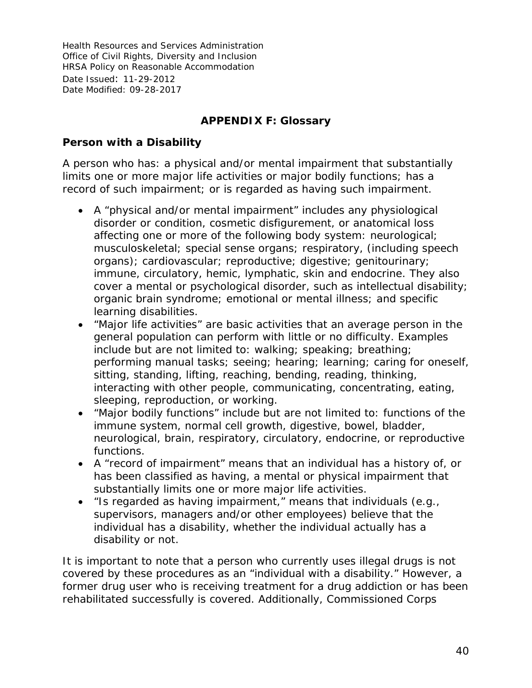# **APPENDIX F: Glossary**

#### <span id="page-39-0"></span>**Person with a Disability**

A person who has: a physical and/or mental impairment that substantially limits one or more major life activities or major bodily functions; has a record of such impairment; or is regarded as having such impairment.

- A "physical and/or mental impairment" includes any physiological disorder or condition, cosmetic disfigurement, or anatomical loss affecting one or more of the following body system: neurological; musculoskeletal; special sense organs; respiratory, (including speech organs); cardiovascular; reproductive; digestive; genitourinary; immune, circulatory, hemic, lymphatic, skin and endocrine. They also cover a mental or psychological disorder, such as intellectual disability; organic brain syndrome; emotional or mental illness; and specific learning disabilities.
- "Major life activities" are basic activities that an average person in the general population can perform with little or no difficulty. Examples include but are not limited to: walking; speaking; breathing; performing manual tasks; seeing; hearing; learning; caring for oneself, sitting, standing, lifting, reaching, bending, reading, thinking, interacting with other people, communicating, concentrating, eating, sleeping, reproduction, or working.
- "Major bodily functions" include but are not limited to: functions of the immune system, normal cell growth, digestive, bowel, bladder, neurological, brain, respiratory, circulatory, endocrine, or reproductive functions.
- A "record of impairment" means that an individual has a history of, or has been classified as having, a mental or physical impairment that substantially limits one or more major life activities.
- "Is regarded as having impairment," means that individuals (e.g., supervisors, managers and/or other employees) believe that the individual has a disability, whether the individual actually has a disability or not.

It is important to note that a person who currently uses illegal drugs is not covered by these procedures as an "individual with a disability." However, a former drug user who is receiving treatment for a drug addiction or has been rehabilitated successfully is covered. Additionally, Commissioned Corps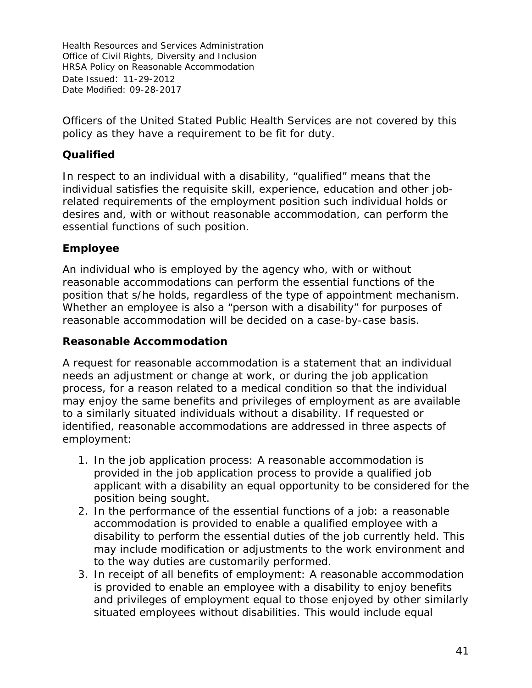Officers of the United Stated Public Health Services are not covered by this policy as they have a requirement to be fit for duty.

# **Qualified**

In respect to an individual with a disability, "qualified" means that the individual satisfies the requisite skill, experience, education and other jobrelated requirements of the employment position such individual holds or desires and, with or without reasonable accommodation, can perform the essential functions of such position.

# **Employee**

An individual who is employed by the agency who, with or without reasonable accommodations can perform the essential functions of the position that s/he holds, regardless of the type of appointment mechanism. Whether an employee is also a "person with a disability" for purposes of reasonable accommodation will be decided on a case-by-case basis.

#### **Reasonable Accommodation**

A request for reasonable accommodation is a statement that an individual needs an adjustment or change at work, or during the job application process, for a reason related to a medical condition so that the individual may enjoy the same benefits and privileges of employment as are available to a similarly situated individuals without a disability. If requested or identified, reasonable accommodations are addressed in three aspects of employment:

- 1. In the job application process: A reasonable accommodation is provided in the job application process to provide a qualified job applicant with a disability an equal opportunity to be considered for the position being sought.
- 2. In the performance of the essential functions of a job: a reasonable accommodation is provided to enable a qualified employee with a disability to perform the essential duties of the job currently held. This may include modification or adjustments to the work environment and to the way duties are customarily performed.
- 3. In receipt of all benefits of employment: A reasonable accommodation is provided to enable an employee with a disability to enjoy benefits and privileges of employment equal to those enjoyed by other similarly situated employees without disabilities. This would include equal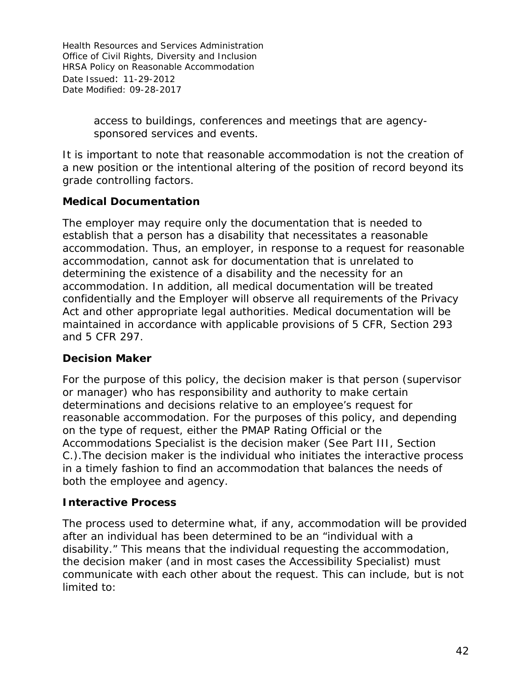> access to buildings, conferences and meetings that are agencysponsored services and events.

It is important to note that reasonable accommodation is not the creation of a new position or the intentional altering of the position of record beyond its grade controlling factors.

# **Medical Documentation**

The employer may require only the documentation that is needed to establish that a person has a disability that necessitates a reasonable accommodation. Thus, an employer, in response to a request for reasonable accommodation, cannot ask for documentation that is unrelated to determining the existence of a disability and the necessity for an accommodation. In addition, all medical documentation will be treated confidentially and the Employer will observe all requirements of the Privacy Act and other appropriate legal authorities. Medical documentation will be maintained in accordance with applicable provisions of 5 CFR, Section 293 and 5 CFR 297.

#### **Decision Maker**

For the purpose of this policy, the decision maker is that person (supervisor or manager) who has responsibility and authority to make certain determinations and decisions relative to an employee's request for reasonable accommodation. For the purposes of this policy, and depending on the type of request, either the PMAP Rating Official or the Accommodations Specialist is the decision maker (See Part III, Section C.).The decision maker is the individual who initiates the interactive process in a timely fashion to find an accommodation that balances the needs of both the employee and agency.

#### **Interactive Process**

The process used to determine what, if any, accommodation will be provided after an individual has been determined to be an "individual with a disability." This means that the individual requesting the accommodation, the decision maker (and in most cases the Accessibility Specialist) must communicate with each other about the request. This can include, but is not limited to: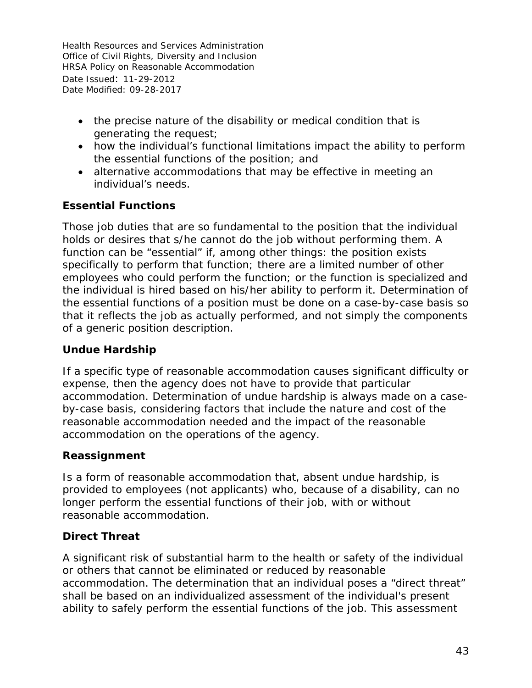- the precise nature of the disability or medical condition that is generating the request;
- how the individual's functional limitations impact the ability to perform the essential functions of the position; and
- alternative accommodations that may be effective in meeting an individual's needs.

# **Essential Functions**

Those job duties that are so fundamental to the position that the individual holds or desires that s/he cannot do the job without performing them. A function can be "essential" if, among other things: the position exists specifically to perform that function; there are a limited number of other employees who could perform the function; or the function is specialized and the individual is hired based on his/her ability to perform it. Determination of the essential functions of a position must be done on a case-by-case basis so that it reflects the job as actually performed, and not simply the components of a generic position description.

#### **Undue Hardship**

If a specific type of reasonable accommodation causes significant difficulty or expense, then the agency does not have to provide that particular accommodation. Determination of undue hardship is always made on a caseby-case basis, considering factors that include the nature and cost of the reasonable accommodation needed and the impact of the reasonable accommodation on the operations of the agency.

#### **Reassignment**

Is a form of reasonable accommodation that, absent undue hardship, is provided to employees (not applicants) who, because of a disability, can no longer perform the essential functions of their job, with or without reasonable accommodation.

# **Direct Threat**

A significant risk of substantial harm to the health or safety of the individual or others that cannot be eliminated or reduced by reasonable accommodation. The determination that an individual poses a "direct threat" shall be based on an individualized assessment of the individual's present ability to safely perform the essential functions of the job. This assessment